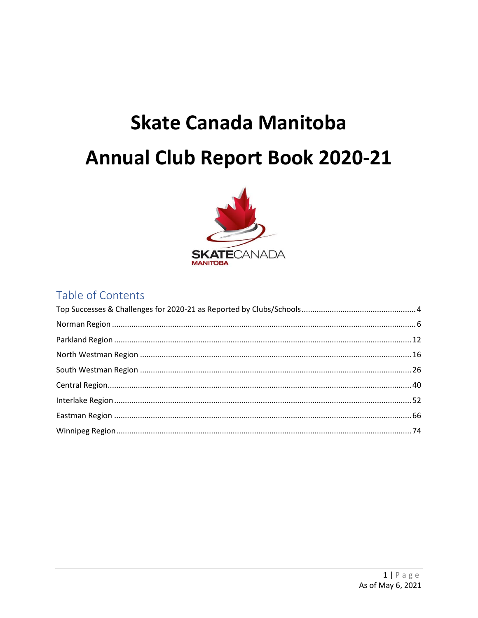# **Skate Canada Manitoba Annual Club Report Book 2020-21**



# Table of Contents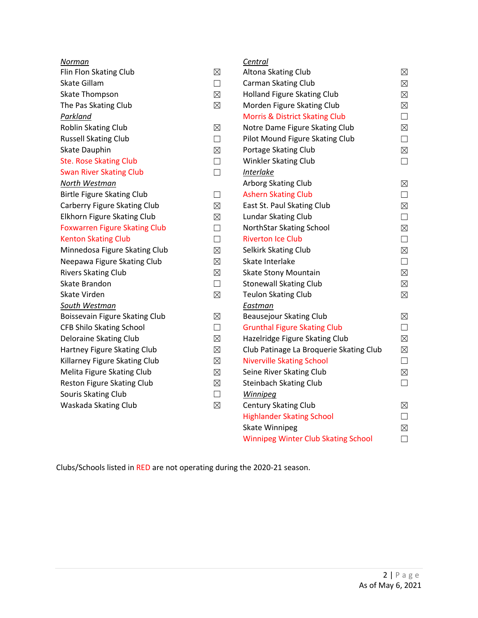| Norman                               |             | Central                                    |             |
|--------------------------------------|-------------|--------------------------------------------|-------------|
| Flin Flon Skating Club               | $\boxtimes$ | Altona Skating Club                        | $\boxtimes$ |
| Skate Gillam                         | $\Box$      | Carman Skating Club                        | $\boxtimes$ |
| <b>Skate Thompson</b>                | $\boxtimes$ | Holland Figure Skating Club                | $\boxtimes$ |
| The Pas Skating Club                 | $\boxtimes$ | Morden Figure Skating Club                 | $\boxtimes$ |
| Parkland                             |             | <b>Morris &amp; District Skating Club</b>  | $\Box$      |
| Roblin Skating Club                  | $\boxtimes$ | Notre Dame Figure Skating Club             | $\boxtimes$ |
| <b>Russell Skating Club</b>          | П           | Pilot Mound Figure Skating Club            | $\Box$      |
| Skate Dauphin                        | $\boxtimes$ | Portage Skating Club                       | $\boxtimes$ |
| <b>Ste. Rose Skating Club</b>        | $\Box$      | Winkler Skating Club                       | $\Box$      |
| <b>Swan River Skating Club</b>       | $\Box$      | <b>Interlake</b>                           |             |
| North Westman                        |             | Arborg Skating Club                        | $\boxtimes$ |
| <b>Birtle Figure Skating Club</b>    | $\Box$      | <b>Ashern Skating Club</b>                 | $\Box$      |
| Carberry Figure Skating Club         | $\boxtimes$ | East St. Paul Skating Club                 | $\boxtimes$ |
| Elkhorn Figure Skating Club          | $\boxtimes$ | Lundar Skating Club                        | $\Box$      |
| <b>Foxwarren Figure Skating Club</b> | П           | NorthStar Skating School                   | $\boxtimes$ |
| <b>Kenton Skating Club</b>           | $\Box$      | <b>Riverton Ice Club</b>                   | $\Box$      |
| Minnedosa Figure Skating Club        | $\boxtimes$ | Selkirk Skating Club                       | $\boxtimes$ |
| Neepawa Figure Skating Club          | $\boxtimes$ | Skate Interlake                            | $\Box$      |
| <b>Rivers Skating Club</b>           | $\boxtimes$ | <b>Skate Stony Mountain</b>                | $\boxtimes$ |
| Skate Brandon                        | $\Box$      | <b>Stonewall Skating Club</b>              | $\boxtimes$ |
| Skate Virden                         | $\boxtimes$ | <b>Teulon Skating Club</b>                 | $\boxtimes$ |
| South Westman                        |             | Eastman                                    |             |
| Boissevain Figure Skating Club       | $\boxtimes$ | Beausejour Skating Club                    | $\boxtimes$ |
| <b>CFB Shilo Skating School</b>      | $\Box$      | <b>Grunthal Figure Skating Club</b>        | $\Box$      |
| Deloraine Skating Club               | $\boxtimes$ | Hazelridge Figure Skating Club             | $\boxtimes$ |
| Hartney Figure Skating Club          | $\boxtimes$ | Club Patinage La Broquerie Skating Club    | $\boxtimes$ |
| Killarney Figure Skating Club        | $\boxtimes$ | <b>Niverville Skating School</b>           | $\Box$      |
| Melita Figure Skating Club           | $\boxtimes$ | Seine River Skating Club                   | $\boxtimes$ |
| Reston Figure Skating Club           | $\boxtimes$ | <b>Steinbach Skating Club</b>              | $\Box$      |
| Souris Skating Club                  | $\Box$      | <b>Winnipeg</b>                            |             |
| Waskada Skating Club                 | $\boxtimes$ | <b>Century Skating Club</b>                | $\boxtimes$ |
|                                      |             | <b>Highlander Skating School</b>           | $\Box$      |
|                                      |             | <b>Skate Winnipeg</b>                      | $\boxtimes$ |
|                                      |             | <b>Winnipeg Winter Club Skating School</b> | П           |

Clubs/Schools listed in RED are not operating during the 2020-21 season.

Winnipeg Winter Club Skating School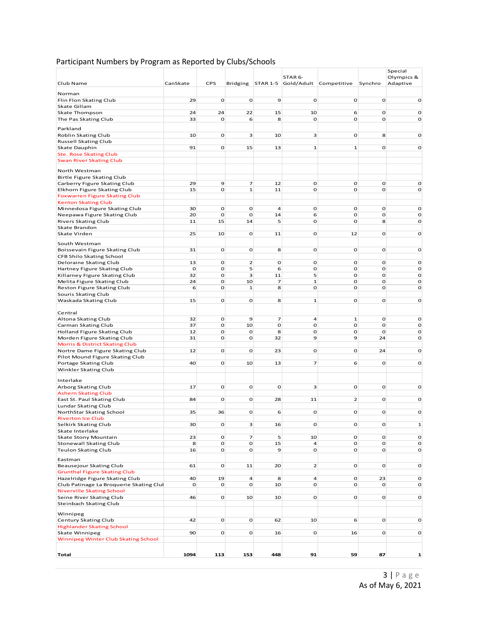| Club Name                                                                   | CanSkate     | <b>CPS</b>        | Bridging          |                  | STAR 6-                 | STAR 1-5 Gold/Adult Competitive | Synchro           | Special<br>Olympics &<br>Adaptive |
|-----------------------------------------------------------------------------|--------------|-------------------|-------------------|------------------|-------------------------|---------------------------------|-------------------|-----------------------------------|
| Norman                                                                      |              |                   |                   |                  |                         |                                 |                   |                                   |
| Flin Flon Skating Club                                                      | 29           | $\mathbf{o}$      | $\mathbf 0$       | 9                | $\mathbf{o}$            | $\mathbf 0$                     | $\mathbf 0$       | $\mathbf{o}$                      |
| Skate Gillam<br>Skate Thompson                                              | 24           | 24                | 22                | 15               | 10                      | 6                               | O                 | $\mathbf 0$                       |
| The Pas Skating Club                                                        | 33           | O                 | 6                 | 8                | O                       | O                               | $\mathbf{o}$      | $\mathbf{o}$                      |
| Parkland                                                                    |              |                   |                   |                  |                         |                                 |                   |                                   |
| Roblin Skating Club                                                         | 10           | O                 | 3                 | 10               | $\overline{\mathbf{3}}$ | o                               | 8                 | $\mathbf{o}$                      |
| Russell Skating Club                                                        |              |                   |                   |                  |                         |                                 |                   |                                   |
| Skate Dauphin                                                               | 91           | $\mathbf{O}$      | 15                | 13               | $\mathbf{1}$            | $\mathbf 1$                     | $\mathbf{O}$      | $\mathbf{o}$                      |
| <b>Ste. Rose Skating Club</b>                                               |              |                   |                   |                  |                         |                                 |                   |                                   |
| <b>Swan River Skating Club</b>                                              |              |                   |                   |                  |                         |                                 |                   |                                   |
| North Westman                                                               |              |                   |                   |                  |                         |                                 |                   |                                   |
| Birtle Figure Skating Club                                                  |              |                   |                   |                  |                         |                                 |                   |                                   |
| Carberry Figure Skating Club                                                | 29           | $\mathbf 9$       | $\overline{z}$    | 12               | $\mathbf 0$             | O                               | $\mathbf{o}$      | $\mathbf{o}$                      |
| Elkhorn Figure Skating Club<br><b>Foxwarren Figure Skating Club</b>         | 15           | $\Omega$          | ${\bf 1}$         | 11               | O                       | $\mathbf{o}$                    | $\mathbf{O}$      | $\mathbf{o}$                      |
| <b>Kenton Skating Club</b>                                                  |              |                   |                   |                  |                         |                                 |                   |                                   |
| Minnedosa Figure Skating Club                                               | 30           | O                 | $\mathbf 0$       | 4                | O                       | o                               | $\mathbf 0$       | o                                 |
| Neepawa Figure Skating Club                                                 | 20           | O                 | $\mathbf 0$       | 14               | 6                       | O                               | O                 | o                                 |
| Rivers Skating Club                                                         | 11           | 15                | 14                | 5                | O                       | O                               | 8                 | $\mathbf 0$                       |
| Skate Brandon<br>Skate Virden                                               | 25           | 10                | $\mathbf 0$       | 11               | $\mathbf 0$             | 12                              | O                 | $\mathbf{o}$                      |
|                                                                             |              |                   |                   |                  |                         |                                 |                   |                                   |
| South Westman                                                               |              |                   |                   |                  |                         |                                 |                   |                                   |
| Boissevain Figure Skating Club                                              | 31           | $\mathbf 0$       | $\mathbf 0$       | 8                | $\mathbf 0$             | O                               | $\mathbf 0$       | $\mathbf{o}$                      |
| CFB Shilo Skating School<br>Deloraine Skating Club                          | 13           | $\mathbf 0$       | $\overline{2}$    | $\mathbf 0$      | O                       | O                               | $\mathbf 0$       | $\mathbf O$                       |
| Hartney Figure Skating Club                                                 | $\mathbf{o}$ | $\mathbf{o}$      | 5                 | 6                | $\mathbf 0$             | O                               | $\mathbf{o}$      | $\mathbf{o}$                      |
| Killarney Figure Skating Club                                               | 32           | $\mathbf{o}$      | з                 | 11               | 5                       | o                               | O                 | $\mathbf 0$                       |
| Melita Figure Skating Club                                                  | 24           | $\mathbf{o}$      | 10                | $\overline{z}$   | $\mathbf{1}$            | O                               | $\mathbf{o}$      | $\mathbf O$                       |
| Reston Figure Skating Club                                                  | 6            | $\mathbf{o}$      | ${\bf 1}$         | 8                | O                       | O                               | O                 | $\mathbf{o}$                      |
| Souris Skating Club<br>Waskada Skating Club                                 | 15           | O                 | $\mathbf 0$       | 8                | ${\bf 1}$               | o                               | O                 | $\mathbf o$                       |
|                                                                             |              |                   |                   |                  |                         |                                 |                   |                                   |
| Central                                                                     |              |                   |                   |                  |                         |                                 |                   |                                   |
| Altona Skating Club                                                         | 32           | O                 | $\mathbf 9$       | $\overline{z}$   | $\overline{4}$          | $\mathbf 1$                     | $\mathbf{o}$      | o                                 |
| Carman Skating Club<br>Holland Figure Skating Club                          | 37<br>12     | $\mathbf{o}$<br>O | 10<br>$\mathbf 0$ | $\mathbf o$<br>8 | $\mathbf 0$<br>O        | O<br>o                          | $\mathbf{o}$<br>O | $\mathbf O$<br>o                  |
| Morden Figure Skating Club                                                  | 31           | $\mathbf{o}$      | $\mathbf 0$       | 32               | $\mathbf 9$             | 9                               | 24                | $\mathbf{o}$                      |
| <b>Morris &amp; District Skating Club</b>                                   |              |                   |                   |                  |                         |                                 |                   |                                   |
| Nortre Dame Figure Skating Club                                             | 12           | O                 | $\mathbf 0$       | 23               | $\mathbf 0$             | o                               | 24                | $\mathbf{o}$                      |
| Pilot Mound Figure Skating Club                                             | 40           | $\mathbf{O}$      | 10                | 13               | $\overline{7}$          | 6                               | O                 | $\mathbf O$                       |
| Portage Skating Club<br>Winkler Skating Club                                |              |                   |                   |                  |                         |                                 |                   |                                   |
|                                                                             |              |                   |                   |                  |                         |                                 |                   |                                   |
| Interlake                                                                   |              |                   |                   |                  |                         |                                 |                   |                                   |
| Arborg Skating Club                                                         | 17           | $\mathbf{o}$      | $\mathbf{o}$      | o                | $\overline{\mathbf{3}}$ | O                               | $\mathbf{o}$      | o                                 |
| <b>Ashern Skating Club</b><br>East St. Paul Skating Club                    | 84           | O                 | $\mathbf 0$       | 28               | 11                      | $\overline{2}$                  | $\mathbf 0$       | $\mathbf o$                       |
| Lundar Skating Club                                                         |              |                   |                   |                  |                         |                                 |                   |                                   |
| NorthStar Skating School                                                    | 35           | 36                | $\Omega$          | 6                | O                       | O                               | $\mathbf{O}$      | $\mathbf o$                       |
| <b>Riverton Ice Club</b>                                                    |              |                   |                   |                  |                         |                                 |                   |                                   |
| Selkirk Skating Club<br>Skate Interlake                                     | 30           | $\mathbf{o}$      | 3                 | 16               | O                       | O                               | $\mathbf{o}$      | $\mathbf 1$                       |
| Skate Stony Mountain                                                        | 23           | $\mathbf{O}$      | 7                 | 5                | 10                      | $\mathbf O$                     | $\mathbf 0$       | $\mathbf 0$                       |
| <b>Stonewall Skating Club</b>                                               | 8            | $\mathbf{O}$      | $\mathbf{O}$      | 15               | $\overline{4}$          | O                               | $\mathbf{O}$      | $\mathbf 0$                       |
| <b>Teulon Skating Club</b>                                                  | 16           | $\mathbf{O}$      | $\mathbf O$       | 9                | $\mathbf 0$             | o                               | $\mathbf O$       | $\mathbf 0$                       |
| Eastman                                                                     |              |                   |                   |                  |                         |                                 |                   |                                   |
| Beausejour Skating Club                                                     | 61           | $\mathbf 0$       | 11                | 20               | $\overline{2}$          | o                               | $\mathbf 0$       | $\mathbf 0$                       |
| <b>Grunthal Figure Skating Club</b>                                         |              |                   |                   |                  |                         |                                 |                   |                                   |
| Hazelridge Figure Skating Club                                              | 40           | 19                | 4                 | 8                | $\overline{a}$          | o                               | 23                | $\mathbf 0$                       |
| Club Patinage La Broquerie Skating Clul<br><b>Niverville Skating School</b> | O            | $\mathbf{o}$      | $\mathbf{O}$      | 10               | $\mathbf{O}$            | O                               | $\mathbf{o}$      | o                                 |
| Seine River Skating Club                                                    | 46           | $\mathbf{O}$      | 10                | 10               | $\mathbf{O}$            | $\mathbf{O}$                    | $\mathbf{o}$      | o                                 |
| <b>Steinbach Skating Club</b>                                               |              |                   |                   |                  |                         |                                 |                   |                                   |
| Winnipeg                                                                    |              |                   |                   |                  |                         |                                 |                   |                                   |
| Century Skating Club                                                        | 42           | O                 | $\mathbf 0$       | 62               | 10                      | 6                               | $\mathbf 0$       | o                                 |
| <b>Highlander Skating School</b>                                            |              |                   |                   |                  |                         |                                 |                   |                                   |
| Skate Winnipeg                                                              | 90           | $\overline{O}$    | $\mathbf 0$       | 16               | $\mathbf 0$             | 16                              | $\mathbf 0$       | $\mathbf 0$                       |
| Winnipeg Winter Club Skating School                                         |              |                   |                   |                  |                         |                                 |                   |                                   |
|                                                                             |              |                   |                   |                  |                         |                                 |                   |                                   |
| <b>Total</b>                                                                | 1094         | 113               | 153               | 448              | 91                      | 59                              | 87                | 1                                 |

#### Participant Numbers by Program as Reported by Clubs/Schools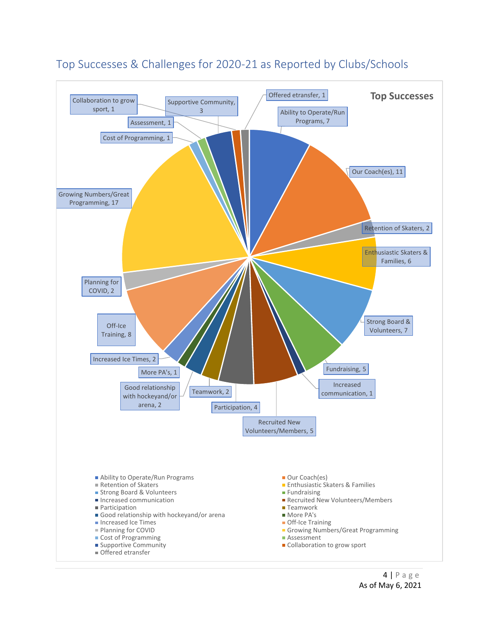

## <span id="page-3-0"></span>Top Successes & Challenges for 2020-21 as Reported by Clubs/Schools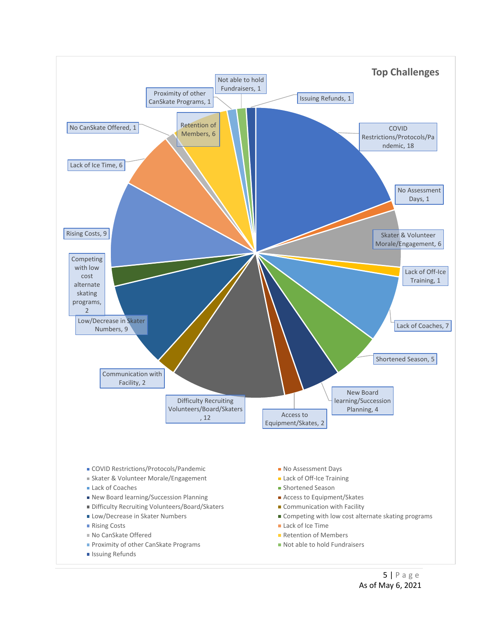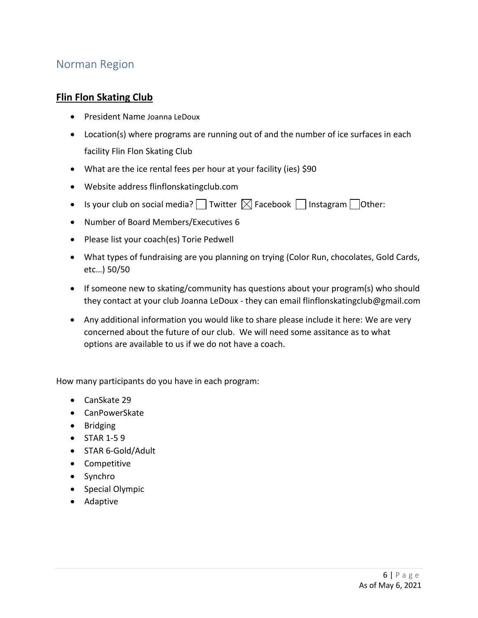# <span id="page-5-0"></span>Norman Region

#### **Flin Flon Skating Club**

- President Name Joanna LeDoux
- Location(s) where programs are running out of and the number of ice surfaces in each facility Flin Flon Skating Club
- What are the ice rental fees per hour at your facility (ies) \$90
- Website address flinflonskatingclub.com
- Is your club on social media?  $\Box$  Twitter  $\boxtimes$  Facebook  $\Box$  Instagram  $\Box$  Other:
- Number of Board Members/Executives 6
- Please list your coach(es) Torie Pedwell
- What types of fundraising are you planning on trying (Color Run, chocolates, Gold Cards, etc…) 50/50
- If someone new to skating/community has questions about your program(s) who should they contact at your club Joanna LeDoux - they can email flinflonskatingclub@gmail.com
- Any additional information you would like to share please include it here: We are very concerned about the future of our club. We will need some assitance as to what options are available to us if we do not have a coach.

- CanSkate 29
- CanPowerSkate
- Bridging
- STAR 1-5 9
- STAR 6-Gold/Adult
- Competitive
- Synchro
- Special Olympic
- Adaptive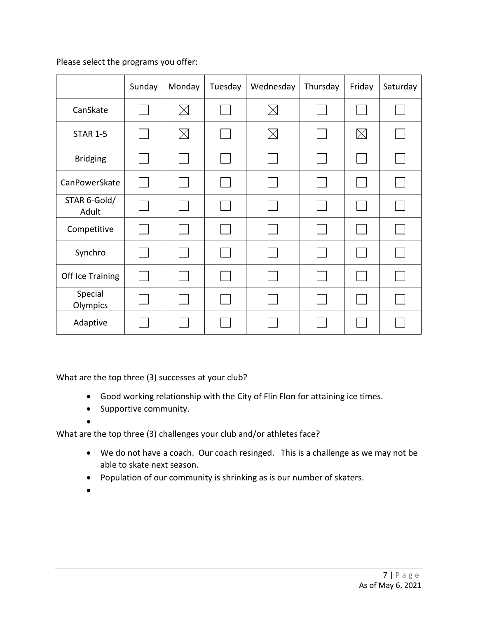|                       | Sunday | Monday      | Tuesday | Wednesday | Thursday       | Friday   | Saturday |
|-----------------------|--------|-------------|---------|-----------|----------------|----------|----------|
| CanSkate              |        | $\boxtimes$ |         | $\times$  |                |          |          |
| <b>STAR 1-5</b>       |        | $\boxtimes$ |         | $\times$  | $\mathbb{R}^n$ | $\times$ |          |
| <b>Bridging</b>       |        |             |         |           |                |          |          |
| CanPowerSkate         |        |             |         |           | $\sim$         |          |          |
| STAR 6-Gold/<br>Adult |        |             |         |           |                |          |          |
| Competitive           |        |             |         |           |                |          |          |
| Synchro               |        |             |         |           |                |          |          |
| Off Ice Training      |        |             |         |           |                |          |          |
| Special<br>Olympics   |        |             |         |           | e.             |          |          |
| Adaptive              |        |             |         |           |                |          |          |

What are the top three (3) successes at your club?

- Good working relationship with the City of Flin Flon for attaining ice times.
- Supportive community.
- •

- We do not have a coach. Our coach resinged. This is a challenge as we may not be able to skate next season.
- Population of our community is shrinking as is our number of skaters.
- •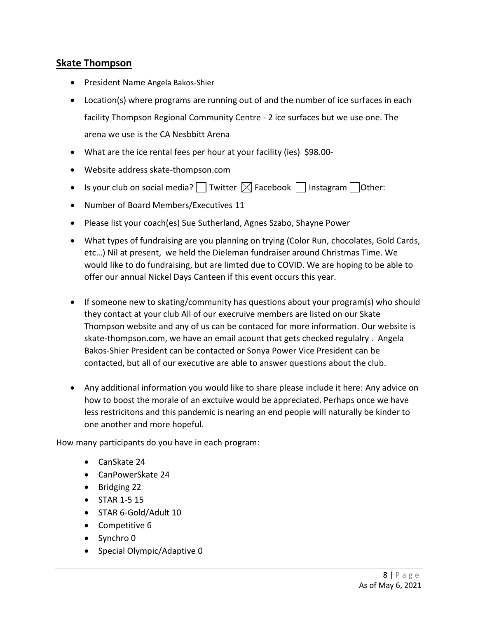#### **Skate Thompson**

- President Name Angela Bakos-Shier
- Location(s) where programs are running out of and the number of ice surfaces in each facility Thompson Regional Community Centre - 2 ice surfaces but we use one. The arena we use is the CA Nesbbitt Arena
- What are the ice rental fees per hour at your facility (ies) \$98.00-
- Website address skate-thompson.com
- Is your club on social media?  $\Box$  Twitter  $\boxtimes$  Facebook  $\Box$  Instagram  $\Box$  Other:
- Number of Board Members/Executives 11
- Please list your coach(es) Sue Sutherland, Agnes Szabo, Shayne Power
- What types of fundraising are you planning on trying (Color Run, chocolates, Gold Cards, etc…) Nil at present, we held the Dieleman fundraiser around Christmas Time. We would like to do fundraising, but are limted due to COVID. We are hoping to be able to offer our annual Nickel Days Canteen if this event occurs this year.
- If someone new to skating/community has questions about your program(s) who should they contact at your club All of our execruive members are listed on our Skate Thompson website and any of us can be contaced for more information. Our website is skate-thompson.com, we have an email acount that gets checked regulalry . Angela Bakos-Shier President can be contacted or Sonya Power Vice President can be contacted, but all of our executive are able to answer questions about the club.
- Any additional information you would like to share please include it here: Any advice on how to boost the morale of an exctuive would be appreciated. Perhaps once we have less restricitons and this pandemic is nearing an end people will naturally be kinder to one another and more hopeful.

- CanSkate 24
- CanPowerSkate 24
- Bridging 22
- STAR 1-5 15
- STAR 6-Gold/Adult 10
- Competitive 6
- Synchro 0
- Special Olympic/Adaptive 0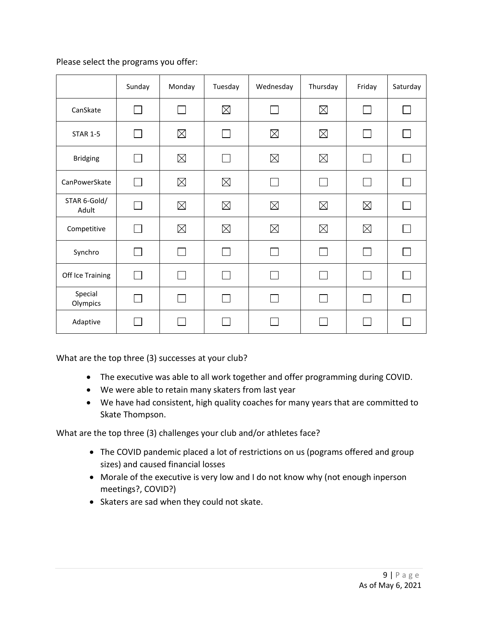|                       | Sunday       | Monday      | Tuesday      | Wednesday   | Thursday       | Friday       | Saturday     |
|-----------------------|--------------|-------------|--------------|-------------|----------------|--------------|--------------|
| CanSkate              |              |             | $\boxtimes$  |             | $\boxtimes$    | $\mathbf{I}$ | $\mathbf{I}$ |
| <b>STAR 1-5</b>       | ΙI           | $\boxtimes$ | $\perp$      | $\boxtimes$ | $\boxtimes$    | $\mathbf{I}$ | ΓJ           |
| <b>Bridging</b>       |              | $\boxtimes$ | $\mathsf{L}$ | $\boxtimes$ | $\boxtimes$    | $\Box$       | $\mathbf{I}$ |
| CanPowerSkate         | $\mathbf{I}$ | $\boxtimes$ | $\boxtimes$  | $\sim$      | $\mathsf{I}$   | $\mathbf{I}$ | H            |
| STAR 6-Gold/<br>Adult |              | $\boxtimes$ | $\boxtimes$  | $\boxtimes$ | $\boxtimes$    | $\boxtimes$  | $\mathbf{I}$ |
| Competitive           |              | $\boxtimes$ | $\boxtimes$  | $\boxtimes$ | $\boxtimes$    | $\boxtimes$  |              |
| Synchro               |              |             | l I          |             | $\blacksquare$ | $\mathbf{I}$ | $\mathbf{I}$ |
| Off Ice Training      |              |             | $\mathsf{L}$ | $\sim 10$   | $\mathsf{L}$   | H            | $\mathbf{I}$ |
| Special<br>Olympics   |              |             | $\mathsf{L}$ |             | $\Box$         | $\Box$       | П            |
| Adaptive              |              |             |              |             |                |              |              |

What are the top three (3) successes at your club?

- The executive was able to all work together and offer programming during COVID.
- We were able to retain many skaters from last year
- We have had consistent, high quality coaches for many years that are committed to Skate Thompson.

- The COVID pandemic placed a lot of restrictions on us (pograms offered and group sizes) and caused financial losses
- Morale of the executive is very low and I do not know why (not enough inperson meetings?, COVID?)
- Skaters are sad when they could not skate.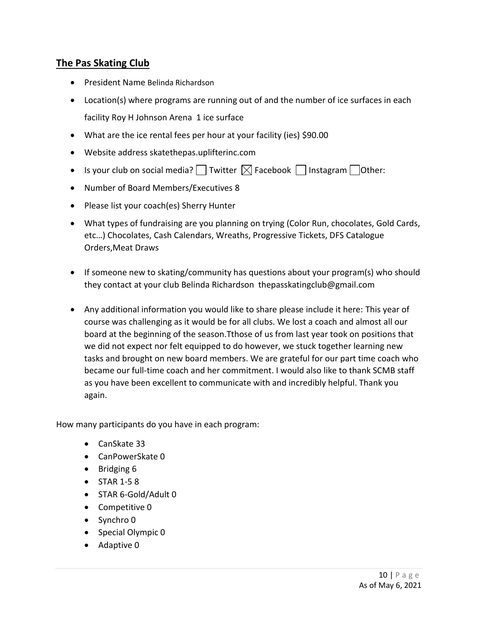## **The Pas Skating Club**

- President Name Belinda Richardson
- Location(s) where programs are running out of and the number of ice surfaces in each facility Roy H Johnson Arena 1 ice surface
- What are the ice rental fees per hour at your facility (ies) \$90.00
- Website address skatethepas.uplifterinc.com
- Is your club on social media? Twitter  $\boxtimes$  Facebook  $\Box$  Instagram  $\Box$  Other:
- Number of Board Members/Executives 8
- Please list your coach(es) Sherry Hunter
- What types of fundraising are you planning on trying (Color Run, chocolates, Gold Cards, etc…) Chocolates, Cash Calendars, Wreaths, Progressive Tickets, DFS Catalogue Orders,Meat Draws
- If someone new to skating/community has questions about your program(s) who should they contact at your club Belinda Richardson thepasskatingclub@gmail.com
- Any additional information you would like to share please include it here: This year of course was challenging as it would be for all clubs. We lost a coach and almost all our board at the beginning of the season.Tthose of us from last year took on positions that we did not expect nor felt equipped to do however, we stuck together learning new tasks and brought on new board members. We are grateful for our part time coach who became our full-time coach and her commitment. I would also like to thank SCMB staff as you have been excellent to communicate with and incredibly helpful. Thank you again.

- CanSkate 33
- CanPowerSkate 0
- Bridging 6
- STAR 1-5 8
- STAR 6-Gold/Adult 0
- Competitive 0
- Synchro 0
- Special Olympic 0
- Adaptive 0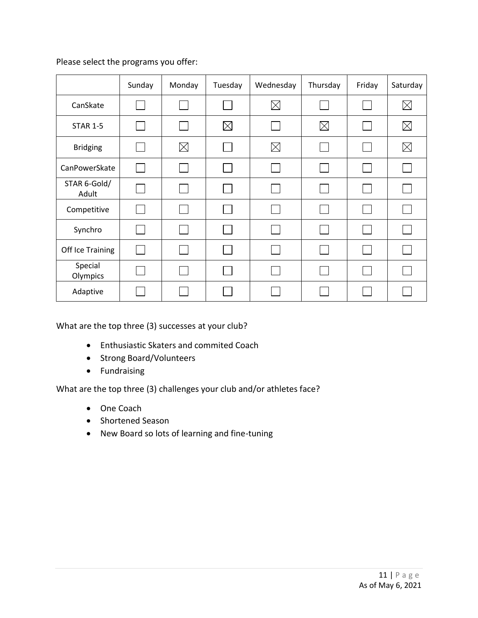|                       | Sunday | Monday      | Tuesday     | Wednesday    | Thursday    | Friday | Saturday    |
|-----------------------|--------|-------------|-------------|--------------|-------------|--------|-------------|
| CanSkate              |        |             |             | $\boxtimes$  |             |        | $\boxtimes$ |
| <b>STAR 1-5</b>       |        |             | $\boxtimes$ |              | $\boxtimes$ |        | $\boxtimes$ |
| <b>Bridging</b>       |        | $\boxtimes$ |             | $\boxtimes$  |             |        | $\boxtimes$ |
| CanPowerSkate         |        |             |             |              |             |        |             |
| STAR 6-Gold/<br>Adult |        |             |             | $\mathbf{I}$ |             |        |             |
| Competitive           |        |             |             |              |             |        |             |
| Synchro               |        |             |             |              |             |        |             |
| Off Ice Training      |        |             |             |              |             |        |             |
| Special<br>Olympics   |        |             |             |              |             |        |             |
| Adaptive              |        |             |             |              |             |        |             |

What are the top three (3) successes at your club?

- Enthusiastic Skaters and commited Coach
- Strong Board/Volunteers
- Fundraising

- One Coach
- Shortened Season
- New Board so lots of learning and fine-tuning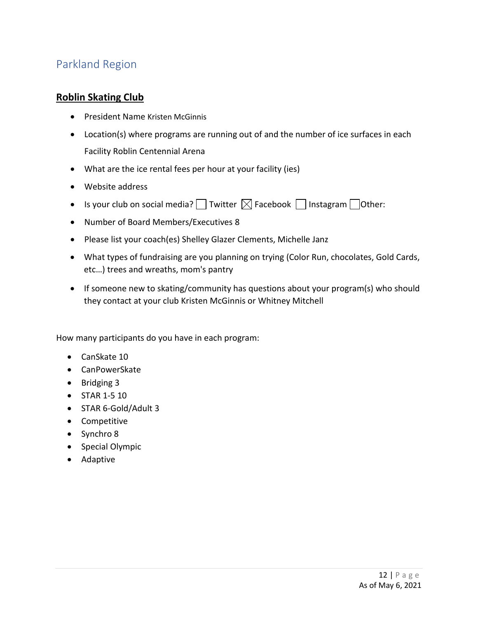# <span id="page-11-0"></span>Parkland Region

#### **Roblin Skating Club**

- President Name Kristen McGinnis
- Location(s) where programs are running out of and the number of ice surfaces in each Facility Roblin Centennial Arena
- What are the ice rental fees per hour at your facility (ies)
- Website address
- Is your club on social media? Twitter  $\boxtimes$  Facebook  $\Box$  Instagram  $\Box$  Other:
- Number of Board Members/Executives 8
- Please list your coach(es) Shelley Glazer Clements, Michelle Janz
- What types of fundraising are you planning on trying (Color Run, chocolates, Gold Cards, etc…) trees and wreaths, mom's pantry
- If someone new to skating/community has questions about your program(s) who should they contact at your club Kristen McGinnis or Whitney Mitchell

- CanSkate 10
- CanPowerSkate
- Bridging 3
- STAR 1-5 10
- STAR 6-Gold/Adult 3
- Competitive
- Synchro 8
- Special Olympic
- Adaptive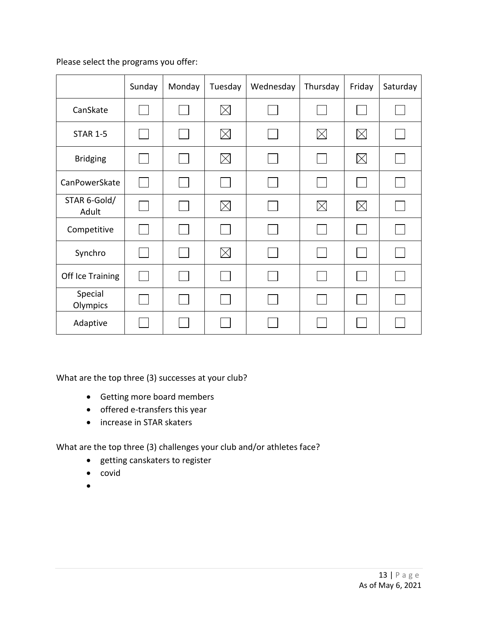|                       | Sunday | Monday | Tuesday     | Wednesday | Thursday    | Friday      | Saturday |
|-----------------------|--------|--------|-------------|-----------|-------------|-------------|----------|
| CanSkate              |        |        | $\boxtimes$ |           |             |             |          |
| <b>STAR 1-5</b>       |        |        | $\boxtimes$ |           | $\boxtimes$ | $\boxtimes$ |          |
| <b>Bridging</b>       |        |        | $\times$    |           |             | $\boxtimes$ |          |
| CanPowerSkate         |        |        |             |           | $\sim$      |             |          |
| STAR 6-Gold/<br>Adult |        |        | $\times$    |           | $\times$    | $\times$    |          |
| Competitive           |        |        |             |           |             |             |          |
| Synchro               |        |        | $\times$    |           |             |             |          |
| Off Ice Training      |        |        |             |           |             |             |          |
| Special<br>Olympics   |        |        |             |           |             |             |          |
| Adaptive              |        |        |             |           |             |             |          |

What are the top three (3) successes at your club?

- Getting more board members
- offered e-transfers this year
- increase in STAR skaters

- getting canskaters to register
- covid
- •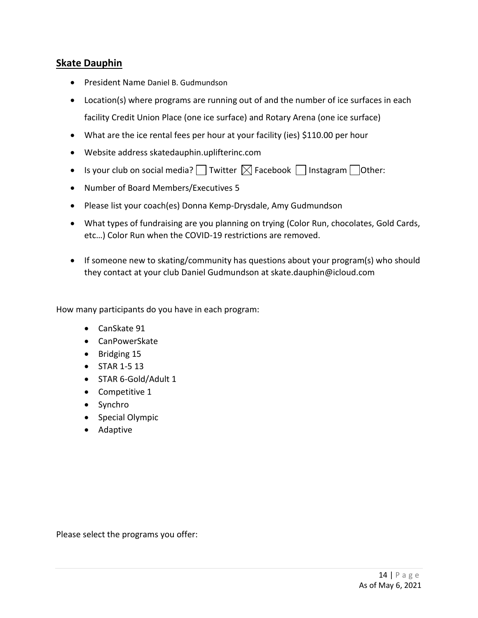#### **Skate Dauphin**

- President Name Daniel B. Gudmundson
- Location(s) where programs are running out of and the number of ice surfaces in each facility Credit Union Place (one ice surface) and Rotary Arena (one ice surface)
- What are the ice rental fees per hour at your facility (ies) \$110.00 per hour
- Website address skatedauphin.uplifterinc.com
- Is your club on social media?  $\Box$  Twitter  $\boxtimes$  Facebook  $\Box$  Instagram  $\Box$  Other:
- Number of Board Members/Executives 5
- Please list your coach(es) Donna Kemp-Drysdale, Amy Gudmundson
- What types of fundraising are you planning on trying (Color Run, chocolates, Gold Cards, etc…) Color Run when the COVID-19 restrictions are removed.
- If someone new to skating/community has questions about your program(s) who should they contact at your club Daniel Gudmundson at skate.dauphin@icloud.com

How many participants do you have in each program:

- CanSkate 91
- CanPowerSkate
- Bridging 15
- STAR 1-5 13
- STAR 6-Gold/Adult 1
- Competitive 1
- Synchro
- Special Olympic
- Adaptive

Please select the programs you offer: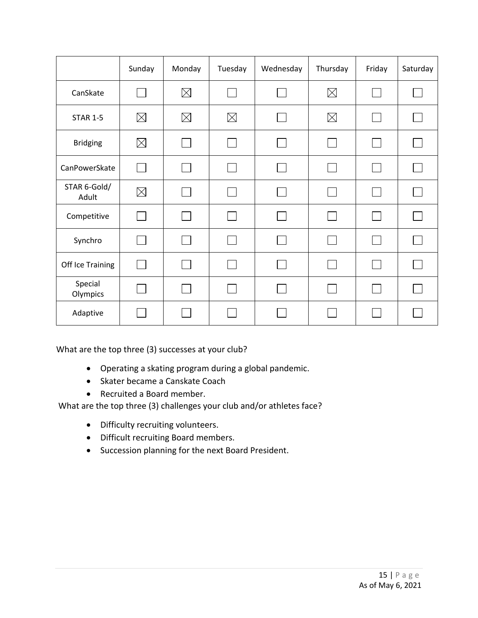|                       | Sunday       | Monday      | Tuesday     | Wednesday | Thursday    | Friday | Saturday |
|-----------------------|--------------|-------------|-------------|-----------|-------------|--------|----------|
| CanSkate              |              | $\boxtimes$ |             |           | $\boxtimes$ |        |          |
| <b>STAR 1-5</b>       | $\boxtimes$  | $\boxtimes$ | $\boxtimes$ |           | $\boxtimes$ |        |          |
| <b>Bridging</b>       | $\boxtimes$  | $\sim$      |             |           |             |        |          |
| CanPowerSkate         | $\mathsf{L}$ | $\sim$      |             |           |             |        |          |
| STAR 6-Gold/<br>Adult | $\boxtimes$  | $\sim$      |             |           |             |        |          |
| Competitive           | $\sim 10$    | $\sim$      |             |           |             |        |          |
| Synchro               |              |             |             |           |             |        |          |
| Off Ice Training      |              |             |             |           |             |        |          |
| Special<br>Olympics   |              | $\sim$      |             |           |             |        |          |
| Adaptive              |              |             |             |           |             |        |          |

What are the top three (3) successes at your club?

- Operating a skating program during a global pandemic.
- Skater became a Canskate Coach
- Recruited a Board member.

- Difficulty recruiting volunteers.
- Difficult recruiting Board members.
- Succession planning for the next Board President.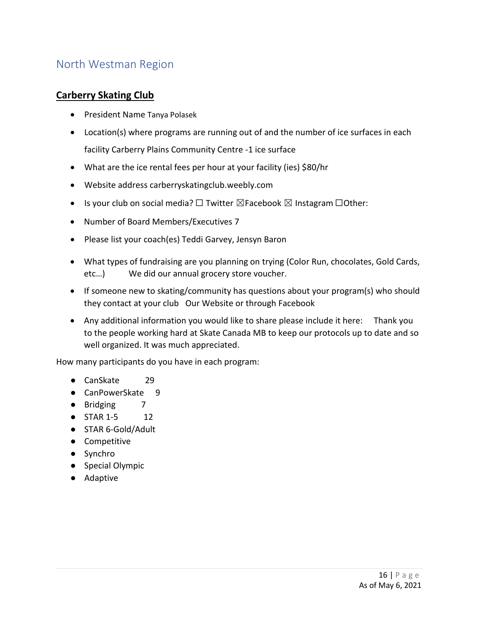# <span id="page-15-0"></span>North Westman Region

#### **Carberry Skating Club**

- President Name Tanya Polasek
- Location(s) where programs are running out of and the number of ice surfaces in each facility Carberry Plains Community Centre -1 ice surface
- What are the ice rental fees per hour at your facility (ies) \$80/hr
- Website address carberryskatingclub.weebly.com
- Is your club on social media?  $\square$  Twitter  $\square$  Facebook  $\square$  Instagram  $\square$ Other:
- Number of Board Members/Executives 7
- Please list your coach(es) Teddi Garvey, Jensyn Baron
- What types of fundraising are you planning on trying (Color Run, chocolates, Gold Cards, etc…) We did our annual grocery store voucher.
- If someone new to skating/community has questions about your program(s) who should they contact at your club Our Website or through Facebook
- Any additional information you would like to share please include it here: Thank you to the people working hard at Skate Canada MB to keep our protocols up to date and so well organized. It was much appreciated.

- CanSkate 29
- CanPowerSkate 9
- Bridging 7
- STAR 1-5 12
- STAR 6-Gold/Adult
- Competitive
- Synchro
- Special Olympic
- Adaptive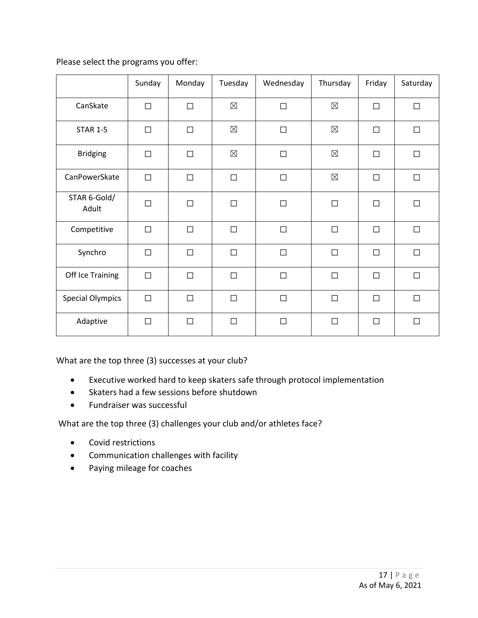|                         | Sunday | Monday | Tuesday     | Wednesday | Thursday    | Friday | Saturday |
|-------------------------|--------|--------|-------------|-----------|-------------|--------|----------|
| CanSkate                | $\Box$ | $\Box$ | $\boxtimes$ | $\Box$    | $\boxtimes$ | $\Box$ | $\Box$   |
| <b>STAR 1-5</b>         | $\Box$ | $\Box$ | $\boxtimes$ | $\Box$    | $\boxtimes$ | $\Box$ | $\Box$   |
| <b>Bridging</b>         | $\Box$ | $\Box$ | $\boxtimes$ | $\Box$    | $\boxtimes$ | $\Box$ | $\Box$   |
| CanPowerSkate           | $\Box$ | $\Box$ | $\Box$      | $\Box$    | $\boxtimes$ | $\Box$ | $\Box$   |
| STAR 6-Gold/<br>Adult   | $\Box$ | $\Box$ | $\Box$      | $\Box$    | $\Box$      | $\Box$ | $\Box$   |
| Competitive             | $\Box$ | $\Box$ | $\Box$      | $\Box$    | $\Box$      | $\Box$ | $\Box$   |
| Synchro                 | $\Box$ | $\Box$ | $\Box$      | $\Box$    | $\Box$      | $\Box$ | $\Box$   |
| Off Ice Training        | $\Box$ | $\Box$ | $\Box$      | $\Box$    | $\Box$      | $\Box$ | $\Box$   |
| <b>Special Olympics</b> | $\Box$ | $\Box$ | $\Box$      | $\Box$    | $\Box$      | $\Box$ | $\Box$   |
| Adaptive                | $\Box$ | $\Box$ | П           | $\Box$    | $\Box$      | $\Box$ | П        |

What are the top three (3) successes at your club?

- Executive worked hard to keep skaters safe through protocol implementation
- Skaters had a few sessions before shutdown
- Fundraiser was successful

- Covid restrictions
- Communication challenges with facility
- Paying mileage for coaches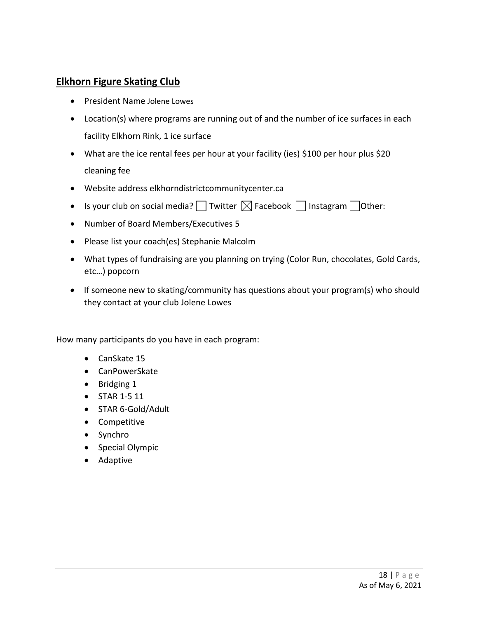#### **Elkhorn Figure Skating Club**

- President Name Jolene Lowes
- Location(s) where programs are running out of and the number of ice surfaces in each facility Elkhorn Rink, 1 ice surface
- What are the ice rental fees per hour at your facility (ies) \$100 per hour plus \$20 cleaning fee
- Website address elkhorndistrictcommunitycenter.ca
- Is your club on social media?  $\Box$  Twitter  $\boxtimes$  Facebook  $\Box$  Instagram  $\Box$  Other:
- Number of Board Members/Executives 5
- Please list your coach(es) Stephanie Malcolm
- What types of fundraising are you planning on trying (Color Run, chocolates, Gold Cards, etc…) popcorn
- If someone new to skating/community has questions about your program(s) who should they contact at your club Jolene Lowes

- CanSkate 15
- CanPowerSkate
- Bridging 1
- STAR 1-5 11
- STAR 6-Gold/Adult
- Competitive
- Synchro
- Special Olympic
- Adaptive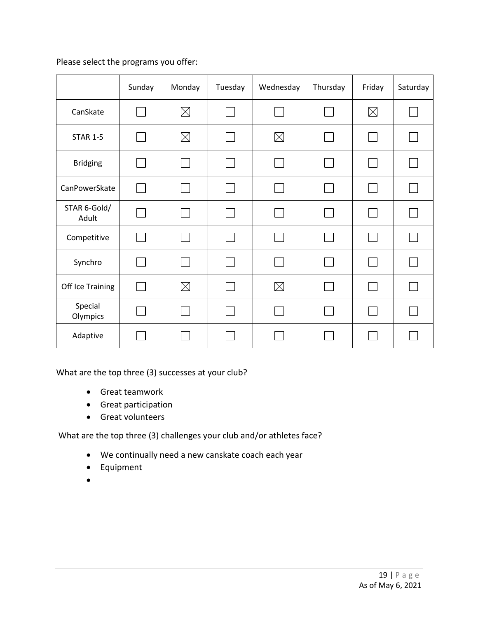|                       | Sunday | Monday      | Tuesday | Wednesday   | Thursday | Friday       | Saturday |
|-----------------------|--------|-------------|---------|-------------|----------|--------------|----------|
| CanSkate              |        | $\boxtimes$ |         |             |          | $\boxtimes$  |          |
| <b>STAR 1-5</b>       |        | $\boxtimes$ |         | $\boxtimes$ |          | $\mathbf{I}$ |          |
| <b>Bridging</b>       |        |             |         |             |          |              |          |
| CanPowerSkate         |        |             |         |             |          |              |          |
| STAR 6-Gold/<br>Adult |        |             |         |             |          |              |          |
| Competitive           |        |             |         |             |          |              |          |
| Synchro               |        |             |         |             |          |              |          |
| Off Ice Training      |        | $\boxtimes$ |         | $\boxtimes$ |          |              |          |
| Special<br>Olympics   |        |             |         |             |          | $\Box$       |          |
| Adaptive              |        |             |         |             |          |              |          |

What are the top three (3) successes at your club?

- Great teamwork
- Great participation
- Great volunteers

- We continually need a new canskate coach each year
- Equipment
- •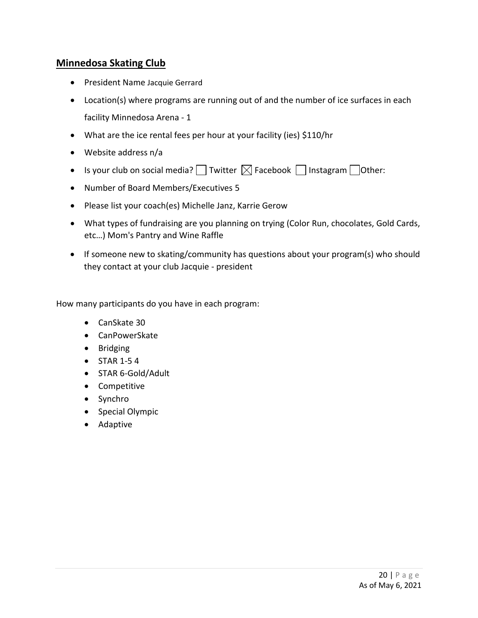## **Minnedosa Skating Club**

- President Name Jacquie Gerrard
- Location(s) where programs are running out of and the number of ice surfaces in each facility Minnedosa Arena - 1
- What are the ice rental fees per hour at your facility (ies) \$110/hr
- Website address n/a
- Is your club on social media?  $\Box$  Twitter  $\boxtimes$  Facebook  $\Box$  Instagram  $\Box$  Other:
- Number of Board Members/Executives 5
- Please list your coach(es) Michelle Janz, Karrie Gerow
- What types of fundraising are you planning on trying (Color Run, chocolates, Gold Cards, etc…) Mom's Pantry and Wine Raffle
- If someone new to skating/community has questions about your program(s) who should they contact at your club Jacquie - president

- CanSkate 30
- CanPowerSkate
- Bridging
- STAR 1-5 4
- STAR 6-Gold/Adult
- Competitive
- Synchro
- Special Olympic
- Adaptive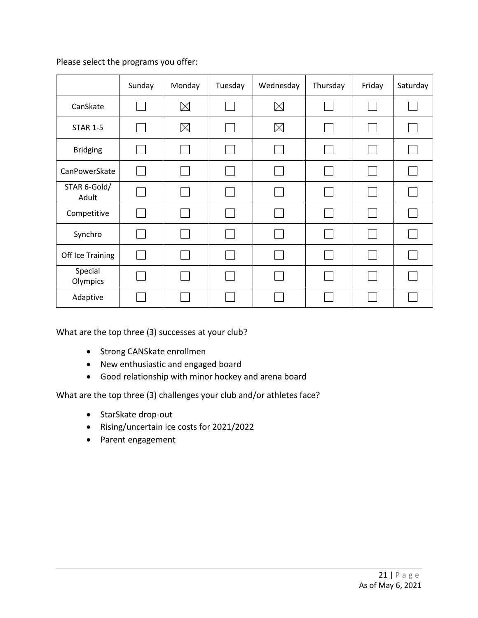|                       | Sunday | Monday      | Tuesday | Wednesday   | Thursday | Friday       | Saturday |
|-----------------------|--------|-------------|---------|-------------|----------|--------------|----------|
| CanSkate              |        | $\boxtimes$ |         | $\boxtimes$ |          |              |          |
| <b>STAR 1-5</b>       |        | $\boxtimes$ |         | $\boxtimes$ |          | L            |          |
| <b>Bridging</b>       |        |             |         |             |          |              |          |
| CanPowerSkate         |        |             |         |             |          | L            |          |
| STAR 6-Gold/<br>Adult |        |             |         |             |          |              |          |
| Competitive           |        |             |         |             |          |              |          |
| Synchro               |        |             |         |             |          | $\mathsf{L}$ |          |
| Off Ice Training      |        |             |         |             |          |              |          |
| Special<br>Olympics   |        |             |         |             |          |              |          |
| Adaptive              |        |             |         |             |          |              |          |

What are the top three (3) successes at your club?

- Strong CANSkate enrollmen
- New enthusiastic and engaged board
- Good relationship with minor hockey and arena board

- StarSkate drop-out
- Rising/uncertain ice costs for 2021/2022
- Parent engagement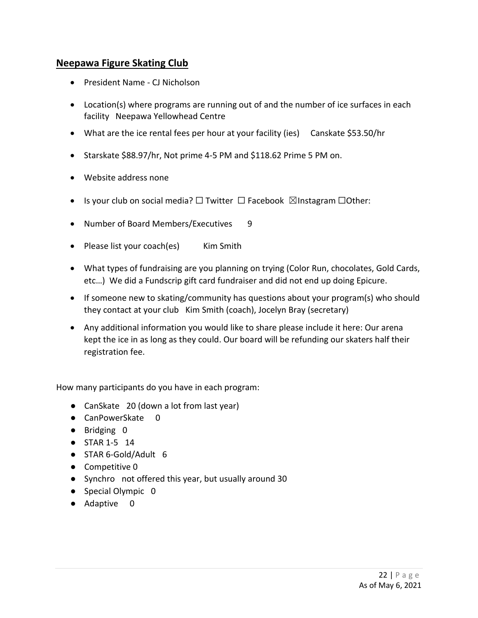#### **Neepawa Figure Skating Club**

- President Name CJ Nicholson
- Location(s) where programs are running out of and the number of ice surfaces in each facility Neepawa Yellowhead Centre
- What are the ice rental fees per hour at your facility (ies) Canskate \$53.50/hr
- Starskate \$88.97/hr, Not prime 4-5 PM and \$118.62 Prime 5 PM on.
- Website address none
- Is your club on social media? □ Twitter □ Facebook ⊠Instagram □Other:
- Number of Board Members/Executives 9
- Please list your coach(es) Kim Smith
- What types of fundraising are you planning on trying (Color Run, chocolates, Gold Cards, etc…) We did a Fundscrip gift card fundraiser and did not end up doing Epicure.
- If someone new to skating/community has questions about your program(s) who should they contact at your club Kim Smith (coach), Jocelyn Bray (secretary)
- Any additional information you would like to share please include it here: Our arena kept the ice in as long as they could. Our board will be refunding our skaters half their registration fee.

- CanSkate 20 (down a lot from last year)
- CanPowerSkate 0
- Bridging 0
- STAR 1-5 14
- STAR 6-Gold/Adult 6
- Competitive 0
- Synchro not offered this year, but usually around 30
- Special Olympic 0
- Adaptive 0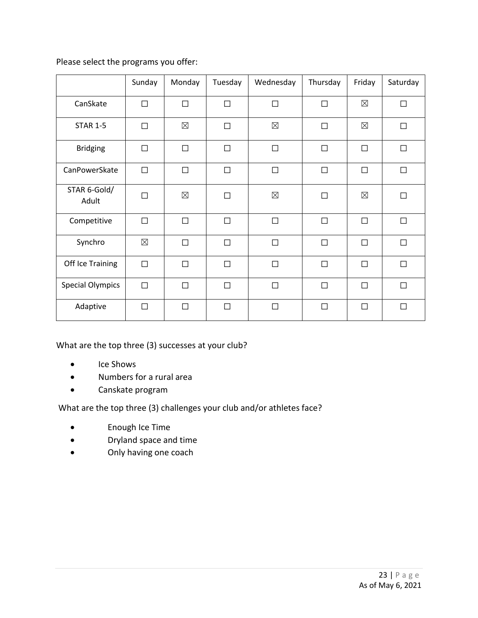|                         | Sunday      | Monday      | Tuesday | Wednesday   | Thursday | Friday      | Saturday |
|-------------------------|-------------|-------------|---------|-------------|----------|-------------|----------|
| CanSkate                | $\Box$      | $\Box$      | $\Box$  | $\Box$      | $\Box$   | $\boxtimes$ | $\Box$   |
| <b>STAR 1-5</b>         | П           | $\boxtimes$ | $\Box$  | $\boxtimes$ | $\Box$   | $\boxtimes$ | П        |
| <b>Bridging</b>         | $\Box$      | $\Box$      | $\Box$  | $\Box$      | $\Box$   | $\Box$      | $\Box$   |
| CanPowerSkate           | $\Box$      | $\Box$      | $\Box$  | $\Box$      | $\Box$   | П           | $\Box$   |
| STAR 6-Gold/<br>Adult   | П           | $\boxtimes$ | $\Box$  | $\boxtimes$ | $\Box$   | $\boxtimes$ | П        |
| Competitive             | $\Box$      | $\Box$      | $\Box$  | П           | $\Box$   | П           | $\Box$   |
| Synchro                 | $\boxtimes$ | $\Box$      | $\Box$  | $\Box$      | $\Box$   | П           | $\Box$   |
| Off Ice Training        | $\Box$      | $\Box$      | $\Box$  | $\Box$      | $\Box$   | $\Box$      | $\Box$   |
| <b>Special Olympics</b> | $\Box$      | $\Box$      | $\Box$  | $\Box$      | $\Box$   | $\Box$      | $\Box$   |
| Adaptive                | $\Box$      | $\Box$      | $\Box$  | П           | $\Box$   | П           | П        |

What are the top three (3) successes at your club?

- Ice Shows
- Numbers for a rural area
- Canskate program

- Enough Ice Time
- Dryland space and time
- Only having one coach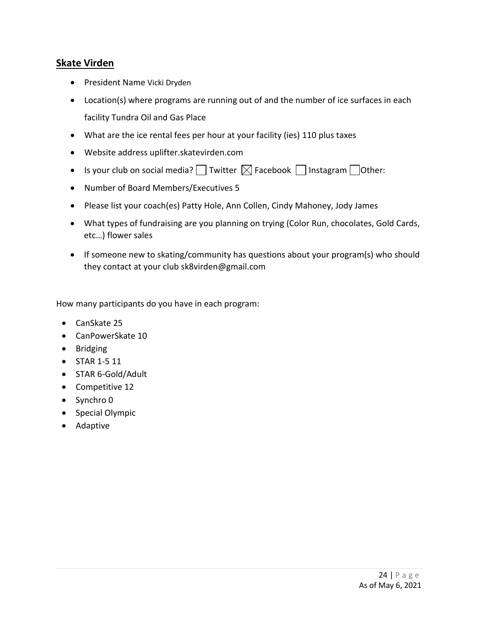## **Skate Virden**

- President Name Vicki Dryden
- Location(s) where programs are running out of and the number of ice surfaces in each facility Tundra Oil and Gas Place
- What are the ice rental fees per hour at your facility (ies) 110 plus taxes
- Website address uplifter.skatevirden.com
- Is your club on social media?  $\Box$  Twitter  $\boxtimes$  Facebook  $\Box$  Instagram  $\Box$  Other:
- Number of Board Members/Executives 5
- Please list your coach(es) Patty Hole, Ann Collen, Cindy Mahoney, Jody James
- What types of fundraising are you planning on trying (Color Run, chocolates, Gold Cards, etc…) flower sales
- If someone new to skating/community has questions about your program(s) who should they contact at your club sk8virden@gmail.com

- CanSkate 25
- CanPowerSkate 10
- Bridging
- STAR 1-5 11
- STAR 6-Gold/Adult
- Competitive 12
- Synchro 0
- Special Olympic
- Adaptive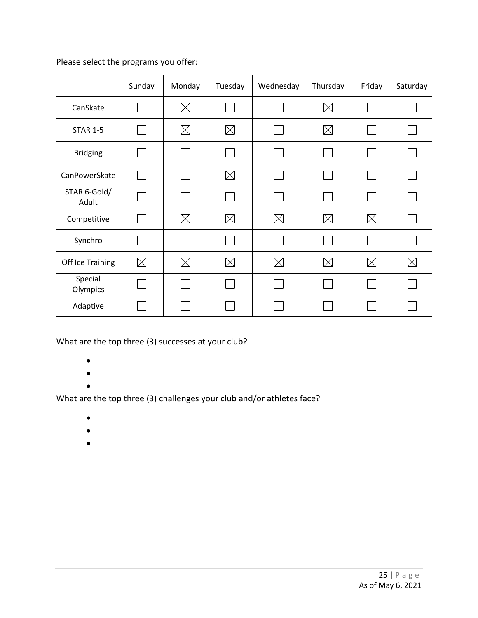|                       | Sunday      | Monday      | Tuesday     | Wednesday   | Thursday    | Friday      | Saturday    |
|-----------------------|-------------|-------------|-------------|-------------|-------------|-------------|-------------|
| CanSkate              |             | $\boxtimes$ |             |             | $\boxtimes$ |             |             |
| <b>STAR 1-5</b>       |             | $\boxtimes$ | $\boxtimes$ |             | $\boxtimes$ |             |             |
| <b>Bridging</b>       |             |             |             |             |             |             |             |
| CanPowerSkate         |             |             | $\boxtimes$ |             |             |             |             |
| STAR 6-Gold/<br>Adult |             |             |             |             |             |             |             |
| Competitive           |             | $\boxtimes$ | $\boxtimes$ | $\boxtimes$ | $\boxtimes$ | $\boxtimes$ |             |
| Synchro               |             |             |             |             |             |             |             |
| Off Ice Training      | $\boxtimes$ | $\boxtimes$ | $\boxtimes$ | $\boxtimes$ | $\boxtimes$ | $\boxtimes$ | $\boxtimes$ |
| Special<br>Olympics   |             |             |             |             |             |             |             |
| Adaptive              |             |             |             |             |             |             |             |

What are the top three (3) successes at your club?

- •
- •
- •

- •
- $\bullet$
- $\bullet$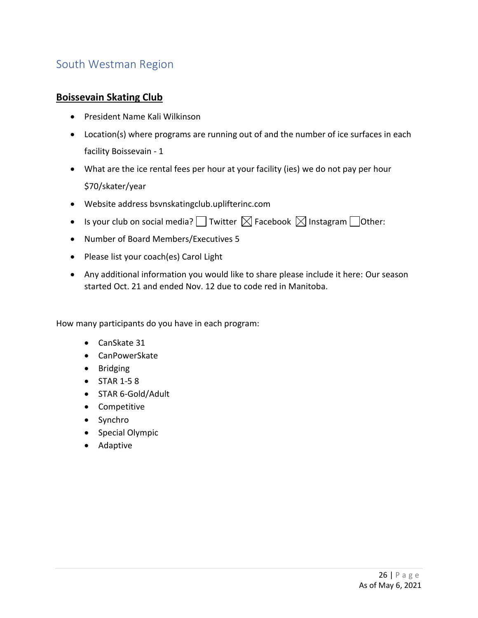# <span id="page-25-0"></span>South Westman Region

#### **Boissevain Skating Club**

- President Name Kali Wilkinson
- Location(s) where programs are running out of and the number of ice surfaces in each facility Boissevain - 1
- What are the ice rental fees per hour at your facility (ies) we do not pay per hour \$70/skater/year
- Website address bsvnskatingclub.uplifterinc.com
- Is your club on social media?  $\Box$  Twitter  $\boxtimes$  Facebook  $\boxtimes$  Instagram  $\Box$  Other:
- Number of Board Members/Executives 5
- Please list your coach(es) Carol Light
- Any additional information you would like to share please include it here: Our season started Oct. 21 and ended Nov. 12 due to code red in Manitoba.

- CanSkate 31
- CanPowerSkate
- Bridging
- STAR 1-5 8
- STAR 6-Gold/Adult
- Competitive
- Synchro
- Special Olympic
- Adaptive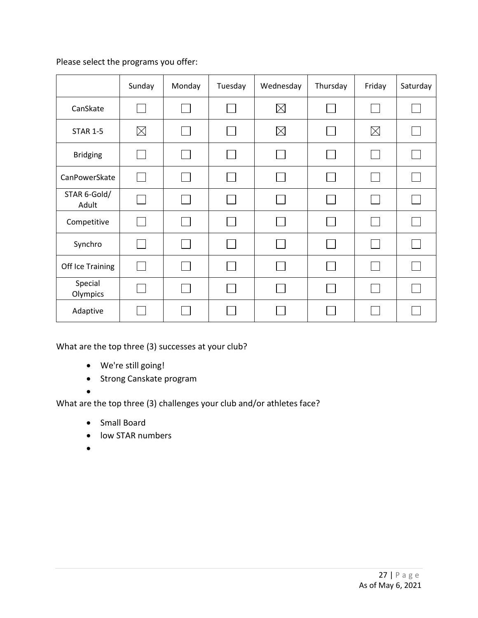|                       | Sunday      | Monday | Tuesday | Wednesday   | Thursday | Friday   | Saturday |
|-----------------------|-------------|--------|---------|-------------|----------|----------|----------|
| CanSkate              |             |        |         | $\boxtimes$ |          |          |          |
| <b>STAR 1-5</b>       | $\boxtimes$ |        |         | $\boxtimes$ |          | $\times$ |          |
| <b>Bridging</b>       |             |        |         |             |          |          |          |
| CanPowerSkate         |             |        |         |             |          |          |          |
| STAR 6-Gold/<br>Adult |             |        |         |             |          |          |          |
| Competitive           |             |        |         |             |          |          |          |
| Synchro               |             |        |         |             |          |          |          |
| Off Ice Training      |             |        |         |             |          |          |          |
| Special<br>Olympics   |             |        |         |             |          |          |          |
| Adaptive              |             |        |         |             |          |          |          |

What are the top three (3) successes at your club?

- We're still going!
- Strong Canskate program

•

- Small Board
- low STAR numbers
- •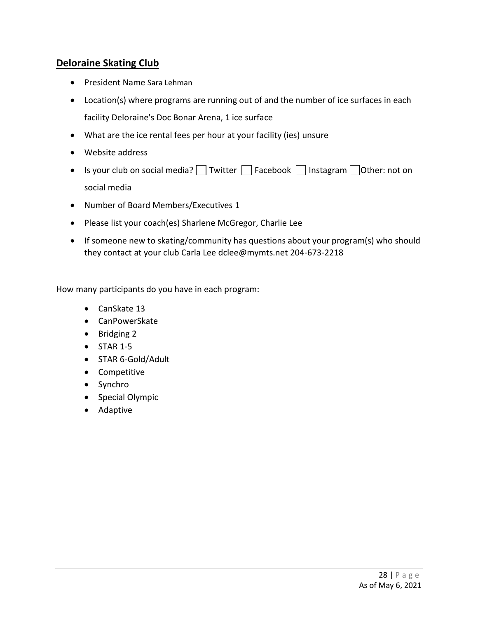## **Deloraine Skating Club**

- President Name Sara Lehman
- Location(s) where programs are running out of and the number of ice surfaces in each facility Deloraine's Doc Bonar Arena, 1 ice surface
- What are the ice rental fees per hour at your facility (ies) unsure
- Website address
- Is your club on social media?  $\Box$  Twitter  $\Box$  Facebook  $\Box$  Instagram  $\Box$  Other: not on social media
- Number of Board Members/Executives 1
- Please list your coach(es) Sharlene McGregor, Charlie Lee
- If someone new to skating/community has questions about your program(s) who should they contact at your club Carla Lee dclee@mymts.net 204-673-2218

- CanSkate 13
- CanPowerSkate
- Bridging 2
- $\bullet$  STAR 1-5
- STAR 6-Gold/Adult
- Competitive
- Synchro
- Special Olympic
- Adaptive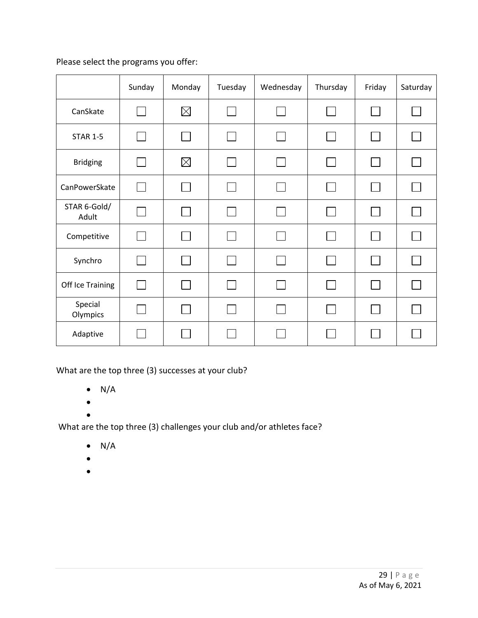|                       | Sunday         | Monday      | Tuesday | Wednesday       | Thursday | Friday          | Saturday |
|-----------------------|----------------|-------------|---------|-----------------|----------|-----------------|----------|
| CanSkate              |                | $\boxtimes$ |         |                 |          |                 |          |
| <b>STAR 1-5</b>       | $\mathbf{I}$   |             |         | <b>Contract</b> |          | $\mathbf{I}$    |          |
| <b>Bridging</b>       |                | $\boxtimes$ |         |                 |          |                 |          |
| CanPowerSkate         | $\mathbf{I}$   |             |         |                 |          | $\mathbf{I}$    |          |
| STAR 6-Gold/<br>Adult |                |             |         | $\mathbf{L}$    |          | $\sim$          |          |
| Competitive           | $\mathbf{L}$   |             |         |                 |          | $\mathbf{I}$    |          |
| Synchro               | $\sim$         |             |         | m.              |          |                 |          |
| Off Ice Training      | $\mathbf{L}$   |             |         |                 |          | <b>Contract</b> |          |
| Special<br>Olympics   | $\mathbb{R}^n$ |             |         |                 |          | $\mathbf{L}$    |          |
| Adaptive              |                |             |         |                 |          |                 |          |

What are the top three (3) successes at your club?

- $\bullet$  N/A
- •
- •

- $\bullet$  N/A
- •
- •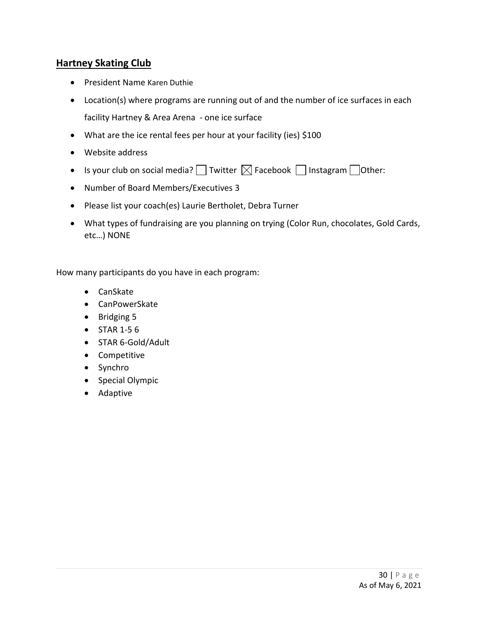## **Hartney Skating Club**

- President Name Karen Duthie
- Location(s) where programs are running out of and the number of ice surfaces in each facility Hartney & Area Arena - one ice surface
- What are the ice rental fees per hour at your facility (ies) \$100
- Website address
- Is your club on social media?  $\Box$  Twitter  $\boxtimes$  Facebook  $\Box$  Instagram  $\Box$  Other:
- Number of Board Members/Executives 3
- Please list your coach(es) Laurie Bertholet, Debra Turner
- What types of fundraising are you planning on trying (Color Run, chocolates, Gold Cards, etc…) NONE

- CanSkate
- CanPowerSkate
- Bridging 5
- STAR 1-5 6
- STAR 6-Gold/Adult
- Competitive
- Synchro
- Special Olympic
- Adaptive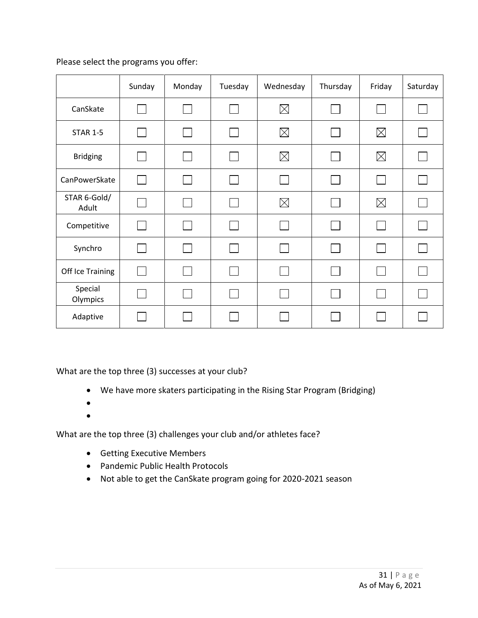|                       | Sunday | Monday | Tuesday | Wednesday   | Thursday | Friday      | Saturday     |
|-----------------------|--------|--------|---------|-------------|----------|-------------|--------------|
| CanSkate              |        |        |         | $\boxtimes$ |          |             |              |
| <b>STAR 1-5</b>       |        |        |         | $\boxtimes$ |          | $\boxtimes$ |              |
| <b>Bridging</b>       |        |        |         | $\boxtimes$ |          | $\boxtimes$ |              |
| CanPowerSkate         |        |        |         | l a s       |          |             |              |
| STAR 6-Gold/<br>Adult |        |        |         | $\boxtimes$ |          | $\boxtimes$ |              |
| Competitive           |        |        |         |             |          |             |              |
| Synchro               |        |        |         |             |          |             |              |
| Off Ice Training      |        |        |         |             |          |             |              |
| Special<br>Olympics   |        |        |         |             |          |             | $\mathbf{L}$ |
| Adaptive              |        |        |         |             |          |             |              |

What are the top three (3) successes at your club?

- We have more skaters participating in the Rising Star Program (Bridging)
- •
- •

- Getting Executive Members
- Pandemic Public Health Protocols
- Not able to get the CanSkate program going for 2020-2021 season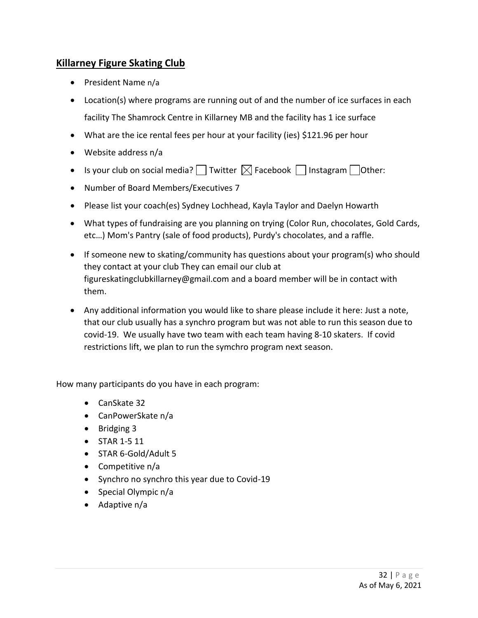## **Killarney Figure Skating Club**

- President Name n/a
- Location(s) where programs are running out of and the number of ice surfaces in each facility The Shamrock Centre in Killarney MB and the facility has 1 ice surface
- What are the ice rental fees per hour at your facility (ies) \$121.96 per hour
- Website address n/a
- Is your club on social media? Twitter  $\boxtimes$  Facebook  $\Box$  Instagram  $\Box$  Other:
- Number of Board Members/Executives 7
- Please list your coach(es) Sydney Lochhead, Kayla Taylor and Daelyn Howarth
- What types of fundraising are you planning on trying (Color Run, chocolates, Gold Cards, etc…) Mom's Pantry (sale of food products), Purdy's chocolates, and a raffle.
- If someone new to skating/community has questions about your program(s) who should they contact at your club They can email our club at figureskatingclubkillarney@gmail.com and a board member will be in contact with them.
- Any additional information you would like to share please include it here: Just a note, that our club usually has a synchro program but was not able to run this season due to covid-19. We usually have two team with each team having 8-10 skaters. If covid restrictions lift, we plan to run the symchro program next season.

- CanSkate 32
- CanPowerSkate n/a
- Bridging 3
- STAR 1-5 11
- STAR 6-Gold/Adult 5
- Competitive n/a
- Synchro no synchro this year due to Covid-19
- Special Olympic n/a
- Adaptive n/a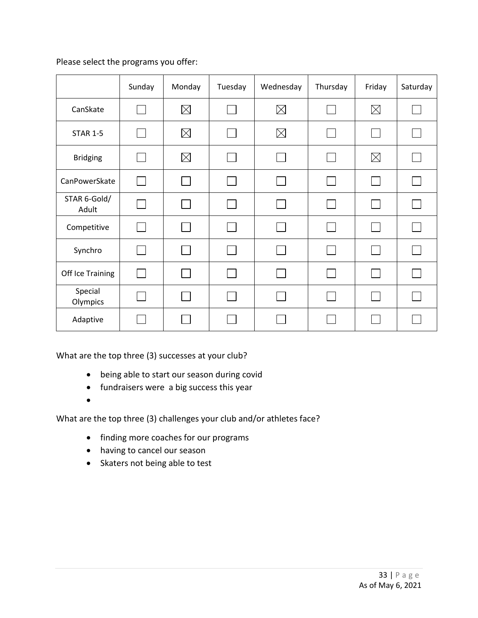|                       | Sunday | Monday      | Tuesday | Wednesday   | Thursday | Friday       | Saturday |
|-----------------------|--------|-------------|---------|-------------|----------|--------------|----------|
| CanSkate              |        | $\boxtimes$ |         | $\boxtimes$ |          | $\boxtimes$  |          |
| <b>STAR 1-5</b>       |        | $\boxtimes$ |         | $\boxtimes$ |          | $\mathbf{I}$ |          |
| <b>Bridging</b>       |        | $\boxtimes$ |         |             |          | $\boxtimes$  |          |
| CanPowerSkate         |        |             |         |             |          |              |          |
| STAR 6-Gold/<br>Adult |        |             |         |             |          |              |          |
| Competitive           |        |             |         |             |          |              |          |
| Synchro               |        |             |         |             |          |              |          |
| Off Ice Training      |        |             |         |             |          |              |          |
| Special<br>Olympics   |        |             |         |             |          | $\mathbf{L}$ |          |
| Adaptive              |        |             |         |             |          |              |          |

What are the top three (3) successes at your club?

- being able to start our season during covid
- fundraisers were a big success this year
- •

- finding more coaches for our programs
- having to cancel our season
- Skaters not being able to test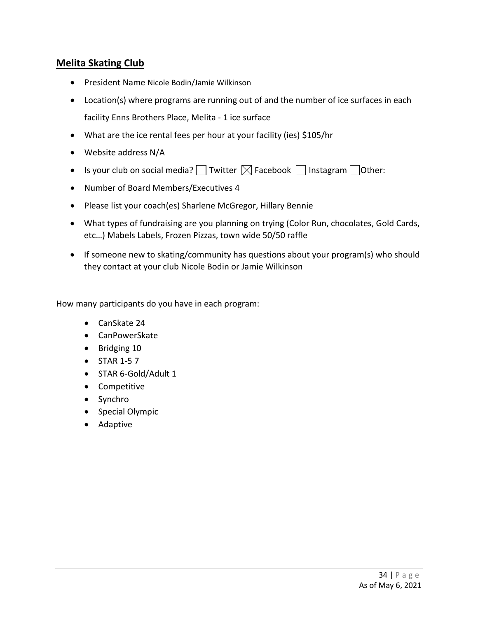## **Melita Skating Club**

- President Name Nicole Bodin/Jamie Wilkinson
- Location(s) where programs are running out of and the number of ice surfaces in each facility Enns Brothers Place, Melita - 1 ice surface
- What are the ice rental fees per hour at your facility (ies) \$105/hr
- Website address N/A
- Is your club on social media?  $\Box$  Twitter  $\boxtimes$  Facebook  $\Box$  Instagram  $\Box$  Other:
- Number of Board Members/Executives 4
- Please list your coach(es) Sharlene McGregor, Hillary Bennie
- What types of fundraising are you planning on trying (Color Run, chocolates, Gold Cards, etc…) Mabels Labels, Frozen Pizzas, town wide 50/50 raffle
- If someone new to skating/community has questions about your program(s) who should they contact at your club Nicole Bodin or Jamie Wilkinson

- CanSkate 24
- CanPowerSkate
- Bridging 10
- STAR 1-5 7
- STAR 6-Gold/Adult 1
- Competitive
- Synchro
- Special Olympic
- Adaptive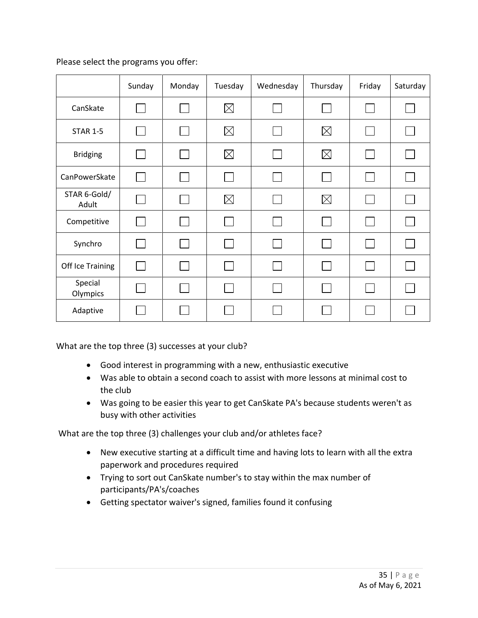|                       | Sunday | Monday | Tuesday     | Wednesday | Thursday    | Friday | Saturday |
|-----------------------|--------|--------|-------------|-----------|-------------|--------|----------|
| CanSkate              |        |        | $\boxtimes$ |           |             |        |          |
| <b>STAR 1-5</b>       |        |        | $\boxtimes$ |           | $\boxtimes$ | L      |          |
| <b>Bridging</b>       |        |        | $\boxtimes$ |           | $\boxtimes$ |        |          |
| CanPowerSkate         |        |        | $\Box$      |           |             |        |          |
| STAR 6-Gold/<br>Adult |        |        | $\boxtimes$ |           | $\boxtimes$ |        |          |
| Competitive           |        |        |             |           |             |        |          |
| Synchro               |        |        |             |           |             |        |          |
| Off Ice Training      |        |        |             |           |             |        |          |
| Special<br>Olympics   |        |        |             |           |             |        |          |
| Adaptive              |        |        |             |           |             |        |          |

What are the top three (3) successes at your club?

- Good interest in programming with a new, enthusiastic executive
- Was able to obtain a second coach to assist with more lessons at minimal cost to the club
- Was going to be easier this year to get CanSkate PA's because students weren't as busy with other activities

- New executive starting at a difficult time and having lots to learn with all the extra paperwork and procedures required
- Trying to sort out CanSkate number's to stay within the max number of participants/PA's/coaches
- Getting spectator waiver's signed, families found it confusing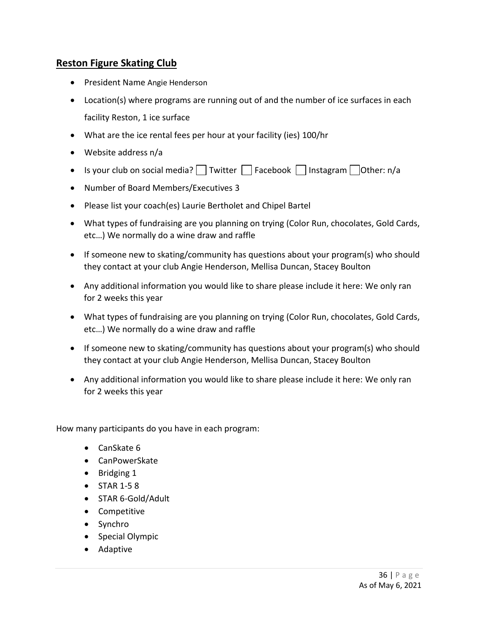## **Reston Figure Skating Club**

- President Name Angie Henderson
- Location(s) where programs are running out of and the number of ice surfaces in each facility Reston, 1 ice surface
- What are the ice rental fees per hour at your facility (ies) 100/hr
- Website address n/a
- Is your club on social media? Twitter  $\Box$  Facebook  $\Box$  Instagram  $\Box$  Other: n/a
- Number of Board Members/Executives 3
- Please list your coach(es) Laurie Bertholet and Chipel Bartel
- What types of fundraising are you planning on trying (Color Run, chocolates, Gold Cards, etc…) We normally do a wine draw and raffle
- If someone new to skating/community has questions about your program(s) who should they contact at your club Angie Henderson, Mellisa Duncan, Stacey Boulton
- Any additional information you would like to share please include it here: We only ran for 2 weeks this year
- What types of fundraising are you planning on trying (Color Run, chocolates, Gold Cards, etc…) We normally do a wine draw and raffle
- If someone new to skating/community has questions about your program(s) who should they contact at your club Angie Henderson, Mellisa Duncan, Stacey Boulton
- Any additional information you would like to share please include it here: We only ran for 2 weeks this year

- CanSkate 6
- CanPowerSkate
- Bridging 1
- STAR 1-5 8
- STAR 6-Gold/Adult
- Competitive
- Synchro
- Special Olympic
- Adaptive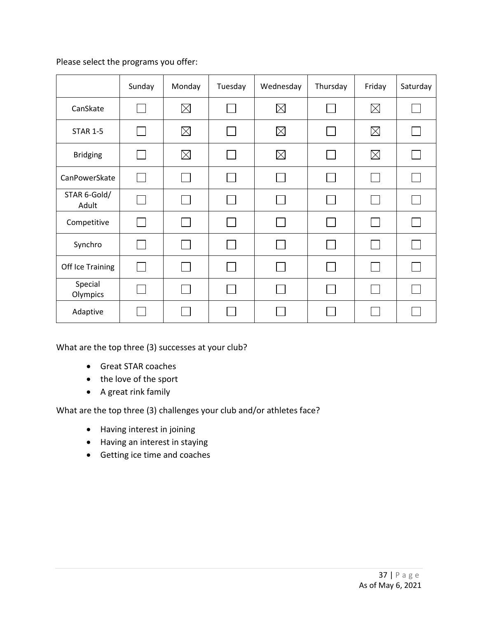|                       | Sunday | Monday      | Tuesday | Wednesday   | Thursday | Friday      | Saturday |
|-----------------------|--------|-------------|---------|-------------|----------|-------------|----------|
| CanSkate              |        | $\boxtimes$ |         | $\boxtimes$ |          | $\boxtimes$ |          |
| <b>STAR 1-5</b>       |        | $\boxtimes$ |         | $\boxtimes$ |          | $\boxtimes$ |          |
| <b>Bridging</b>       |        | $\boxtimes$ |         | $\boxtimes$ |          | $\boxtimes$ |          |
| CanPowerSkate         |        |             |         |             |          |             |          |
| STAR 6-Gold/<br>Adult |        |             |         |             |          |             |          |
| Competitive           |        |             |         |             |          |             |          |
| Synchro               |        |             |         |             |          |             |          |
| Off Ice Training      |        |             |         |             |          |             |          |
| Special<br>Olympics   |        |             |         |             |          |             |          |
| Adaptive              |        |             |         |             |          |             |          |

What are the top three (3) successes at your club?

- Great STAR coaches
- the love of the sport
- A great rink family

- Having interest in joining
- Having an interest in staying
- Getting ice time and coaches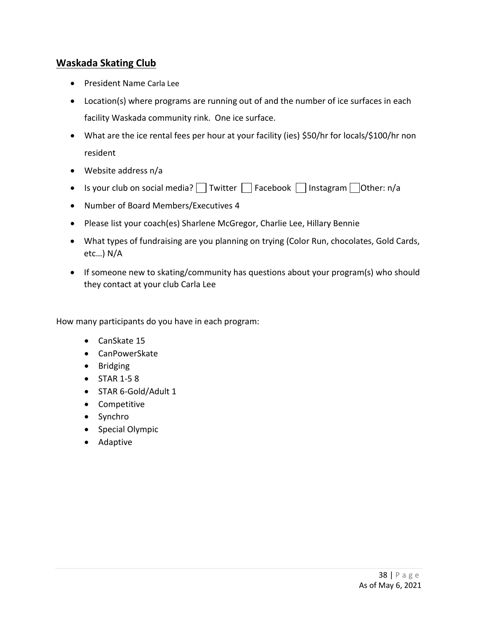## **Waskada Skating Club**

- President Name Carla Lee
- Location(s) where programs are running out of and the number of ice surfaces in each facility Waskada community rink. One ice surface.
- What are the ice rental fees per hour at your facility (ies) \$50/hr for locals/\$100/hr non resident
- Website address n/a
- Is your club on social media?  $\Box$  Twitter  $\Box$  Facebook  $\Box$  Instagram  $\Box$  Other: n/a
- Number of Board Members/Executives 4
- Please list your coach(es) Sharlene McGregor, Charlie Lee, Hillary Bennie
- What types of fundraising are you planning on trying (Color Run, chocolates, Gold Cards, etc…) N/A
- If someone new to skating/community has questions about your program(s) who should they contact at your club Carla Lee

- CanSkate 15
- CanPowerSkate
- Bridging
- STAR 1-5 8
- STAR 6-Gold/Adult 1
- Competitive
- Synchro
- Special Olympic
- Adaptive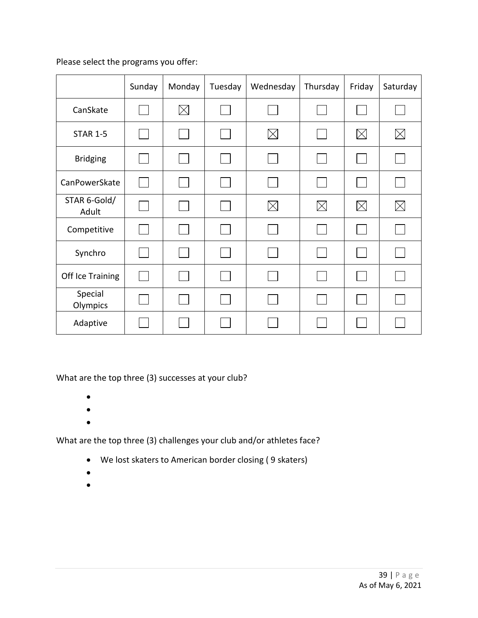|                       | Sunday         | Monday      | Tuesday | Wednesday   | Thursday | Friday      | Saturday    |
|-----------------------|----------------|-------------|---------|-------------|----------|-------------|-------------|
| CanSkate              |                | $\boxtimes$ |         |             |          |             |             |
| <b>STAR 1-5</b>       | l.             |             |         | $\boxtimes$ |          | $\times$    | $\boxtimes$ |
| <b>Bridging</b>       |                |             |         |             |          |             |             |
| CanPowerSkate         | $\mathbb{R}^n$ |             |         |             |          |             |             |
| STAR 6-Gold/<br>Adult |                |             |         | $\times$    | $\times$ | $\boxtimes$ | $\boxtimes$ |
| Competitive           |                |             |         |             |          |             |             |
| Synchro               |                |             |         |             |          |             |             |
| Off Ice Training      |                |             |         |             |          |             |             |
| Special<br>Olympics   |                |             |         |             |          |             |             |
| Adaptive              |                |             |         |             |          |             |             |

What are the top three (3) successes at your club?

- •
- •
- •

- We lost skaters to American border closing ( 9 skaters)
- •
- •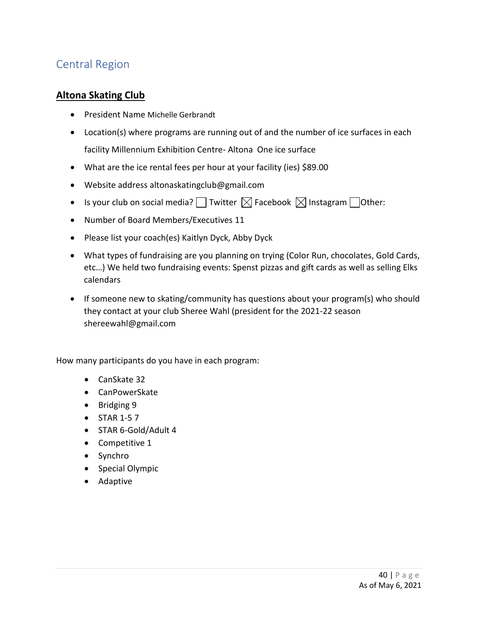# Central Region

### **Altona Skating Club**

- President Name Michelle Gerbrandt
- Location(s) where programs are running out of and the number of ice surfaces in each facility Millennium Exhibition Centre- Altona One ice surface
- What are the ice rental fees per hour at your facility (ies) \$89.00
- Website address altonaskatingclub@gmail.com
- Is your club on social media? Twitter  $\boxtimes$  Facebook  $\boxtimes$  Instagram Tother:
- Number of Board Members/Executives 11
- Please list your coach(es) Kaitlyn Dyck, Abby Dyck
- What types of fundraising are you planning on trying (Color Run, chocolates, Gold Cards, etc…) We held two fundraising events: Spenst pizzas and gift cards as well as selling Elks calendars
- If someone new to skating/community has questions about your program(s) who should they contact at your club Sheree Wahl (president for the 2021-22 season shereewahl@gmail.com

- CanSkate 32
- CanPowerSkate
- Bridging 9
- STAR 1-5 7
- STAR 6-Gold/Adult 4
- Competitive 1
- Synchro
- Special Olympic
- Adaptive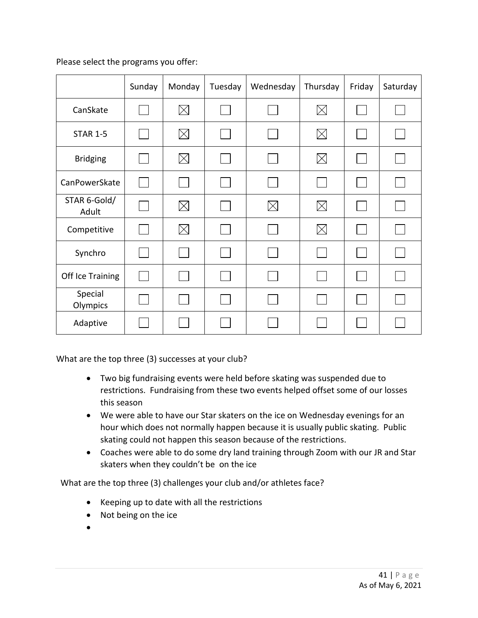|                       | Sunday | Monday      | Tuesday | Wednesday   | Thursday    | Friday | Saturday |
|-----------------------|--------|-------------|---------|-------------|-------------|--------|----------|
| CanSkate              |        | $\boxtimes$ |         |             | $\boxtimes$ |        |          |
| <b>STAR 1-5</b>       |        | $\boxtimes$ |         |             | $\times$    |        |          |
| <b>Bridging</b>       |        | $\boxtimes$ |         |             | $\times$    |        |          |
| CanPowerSkate         |        |             |         |             |             |        |          |
| STAR 6-Gold/<br>Adult |        | $\boxtimes$ |         | $\boxtimes$ | $\times$    |        |          |
| Competitive           |        | $\boxtimes$ |         |             | $\boxtimes$ |        |          |
| Synchro               |        |             |         |             |             |        |          |
| Off Ice Training      |        |             |         |             |             |        |          |
| Special<br>Olympics   |        |             |         |             |             |        |          |
| Adaptive              |        |             |         |             |             |        |          |

What are the top three (3) successes at your club?

- Two big fundraising events were held before skating was suspended due to restrictions. Fundraising from these two events helped offset some of our losses this season
- We were able to have our Star skaters on the ice on Wednesday evenings for an hour which does not normally happen because it is usually public skating. Public skating could not happen this season because of the restrictions.
- Coaches were able to do some dry land training through Zoom with our JR and Star skaters when they couldn't be on the ice

- Keeping up to date with all the restrictions
- Not being on the ice
- •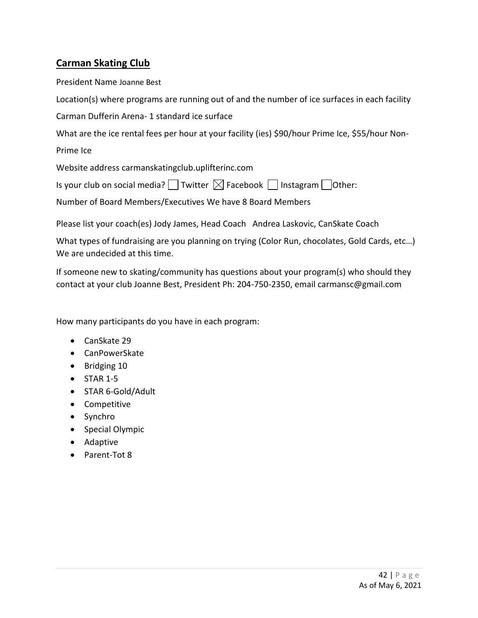## **Carman Skating Club**

President Name Joanne Best

Location(s) where programs are running out of and the number of ice surfaces in each facility

Carman Dufferin Arena- 1 standard ice surface

What are the ice rental fees per hour at your facility (ies) \$90/hour Prime Ice, \$55/hour Non-

Prime Ice

Website address carmanskatingclub.uplifterinc.com

Is your club on social media?  $\Box$  Twitter  $\boxtimes$  Facebook  $\Box$  Instagram  $\Box$  Other:

Number of Board Members/Executives We have 8 Board Members

Please list your coach(es) Jody James, Head Coach Andrea Laskovic, CanSkate Coach

What types of fundraising are you planning on trying (Color Run, chocolates, Gold Cards, etc…) We are undecided at this time.

If someone new to skating/community has questions about your program(s) who should they contact at your club Joanne Best, President Ph: 204-750-2350, email carmansc@gmail.com

- CanSkate 29
- CanPowerSkate
- Bridging 10
- $\bullet$  STAR 1-5
- STAR 6-Gold/Adult
- Competitive
- Synchro
- Special Olympic
- Adaptive
- Parent-Tot 8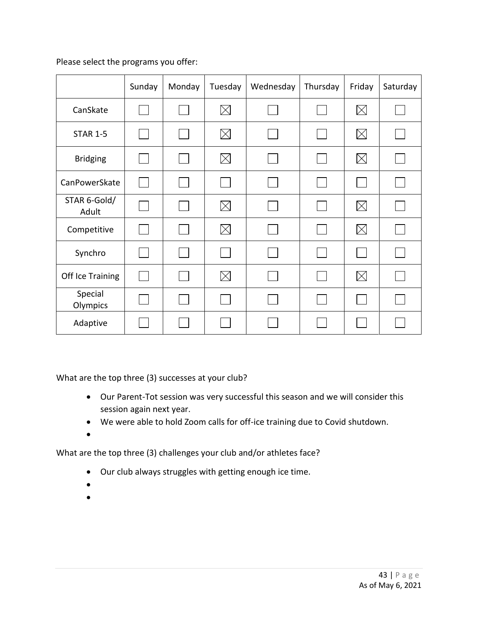|                       | Sunday | Monday | Tuesday     | Wednesday | Thursday             | Friday      | Saturday |
|-----------------------|--------|--------|-------------|-----------|----------------------|-------------|----------|
| CanSkate              |        |        | $\boxtimes$ |           |                      | $\boxtimes$ |          |
| <b>STAR 1-5</b>       |        |        | $\boxtimes$ |           | <b>International</b> | $\boxtimes$ |          |
| <b>Bridging</b>       |        |        | $\times$    |           |                      | $\boxtimes$ |          |
| CanPowerSkate         |        |        |             |           | $\sim$               |             |          |
| STAR 6-Gold/<br>Adult |        |        | $\boxtimes$ |           |                      | $\boxtimes$ |          |
| Competitive           |        |        | $\boxtimes$ |           |                      | $\times$    |          |
| Synchro               |        |        |             |           |                      |             |          |
| Off Ice Training      |        |        | $\times$    |           |                      | $\times$    |          |
| Special<br>Olympics   |        |        |             |           |                      |             |          |
| Adaptive              |        |        |             |           |                      |             |          |

What are the top three (3) successes at your club?

- Our Parent-Tot session was very successful this season and we will consider this session again next year.
- We were able to hold Zoom calls for off-ice training due to Covid shutdown.
- •

- Our club always struggles with getting enough ice time.
- •
- •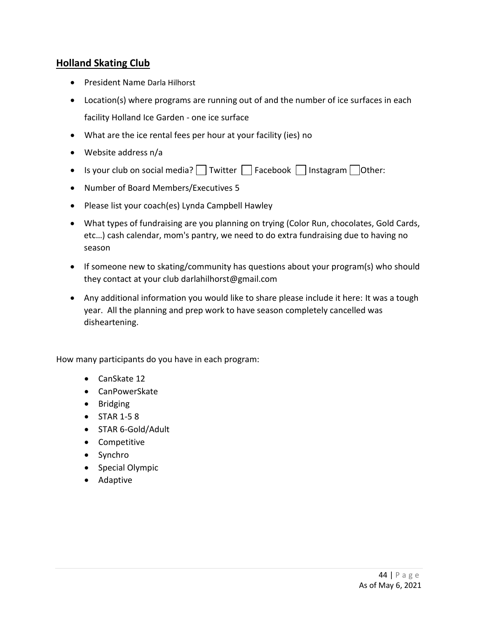#### **Holland Skating Club**

- President Name Darla Hilhorst
- Location(s) where programs are running out of and the number of ice surfaces in each facility Holland Ice Garden - one ice surface
- What are the ice rental fees per hour at your facility (ies) no
- Website address n/a
- Is your club on social media? Twitter  $\Box$  Facebook  $\Box$  Instagram  $\Box$  Other:
- Number of Board Members/Executives 5
- Please list your coach(es) Lynda Campbell Hawley
- What types of fundraising are you planning on trying (Color Run, chocolates, Gold Cards, etc…) cash calendar, mom's pantry, we need to do extra fundraising due to having no season
- If someone new to skating/community has questions about your program(s) who should they contact at your club darlahilhorst@gmail.com
- Any additional information you would like to share please include it here: It was a tough year. All the planning and prep work to have season completely cancelled was disheartening.

- CanSkate 12
- CanPowerSkate
- Bridging
- STAR 1-5 8
- STAR 6-Gold/Adult
- Competitive
- Synchro
- Special Olympic
- Adaptive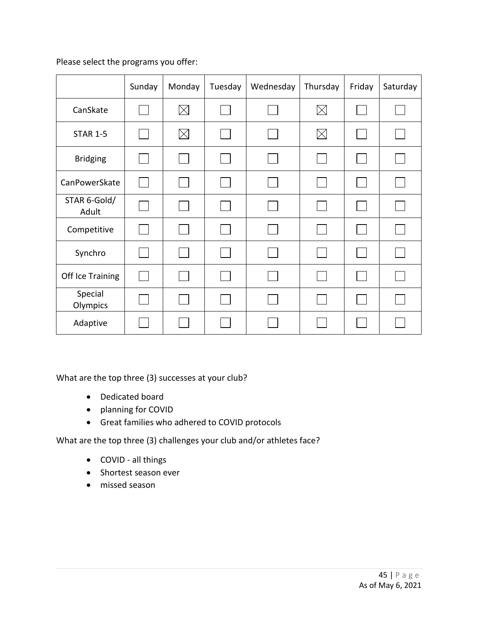|                       | Sunday | Monday      | Tuesday | Wednesday | Thursday                    | Friday | Saturday |
|-----------------------|--------|-------------|---------|-----------|-----------------------------|--------|----------|
| CanSkate              |        | $\boxtimes$ |         |           | $\boxtimes$                 |        |          |
| <b>STAR 1-5</b>       |        | $\boxtimes$ |         |           | $\times$                    |        |          |
| <b>Bridging</b>       |        |             |         |           |                             |        |          |
| CanPowerSkate         |        |             |         |           | $\mathcal{L}_{\mathcal{A}}$ |        |          |
| STAR 6-Gold/<br>Adult |        |             |         |           |                             |        |          |
| Competitive           |        |             |         |           |                             |        |          |
| Synchro               |        |             |         |           | $\mathcal{L}_{\rm{max}}$    |        |          |
| Off Ice Training      |        |             |         |           |                             |        |          |
| Special<br>Olympics   |        |             |         |           |                             |        |          |
| Adaptive              |        |             |         |           |                             |        |          |

What are the top three (3) successes at your club?

- Dedicated board
- planning for COVID
- Great families who adhered to COVID protocols

- COVID all things
- Shortest season ever
- missed season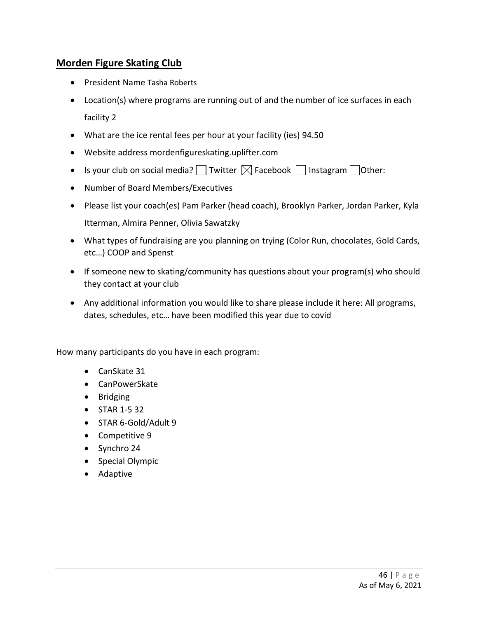## **Morden Figure Skating Club**

- President Name Tasha Roberts
- Location(s) where programs are running out of and the number of ice surfaces in each facility 2
- What are the ice rental fees per hour at your facility (ies) 94.50
- Website address mordenfigureskating.uplifter.com
- Is your club on social media?  $\Box$  Twitter  $\boxtimes$  Facebook  $\Box$  Instagram  $\Box$  Other:
- Number of Board Members/Executives
- Please list your coach(es) Pam Parker (head coach), Brooklyn Parker, Jordan Parker, Kyla Itterman, Almira Penner, Olivia Sawatzky
- What types of fundraising are you planning on trying (Color Run, chocolates, Gold Cards, etc…) COOP and Spenst
- If someone new to skating/community has questions about your program(s) who should they contact at your club
- Any additional information you would like to share please include it here: All programs, dates, schedules, etc… have been modified this year due to covid

- CanSkate 31
- CanPowerSkate
- Bridging
- STAR 1-5 32
- STAR 6-Gold/Adult 9
- Competitive 9
- Synchro 24
- Special Olympic
- Adaptive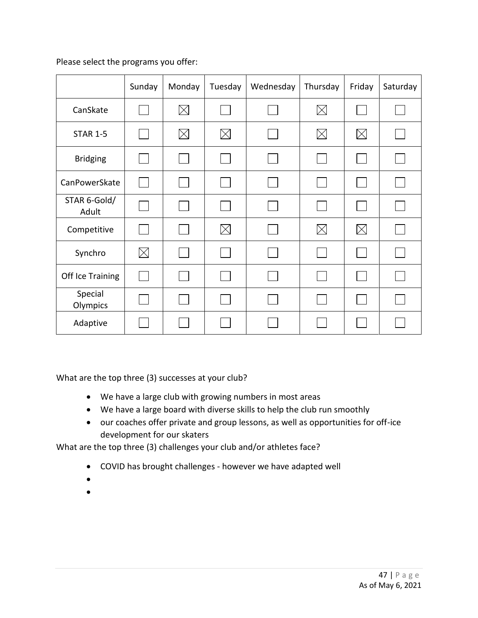|                       | Sunday   | Monday      | Tuesday  | Wednesday | Thursday    | Friday      | Saturday |
|-----------------------|----------|-------------|----------|-----------|-------------|-------------|----------|
| CanSkate              |          | $\boxtimes$ |          |           | $\boxtimes$ |             |          |
| <b>STAR 1-5</b>       |          | $\boxtimes$ | $\times$ |           | $\times$    | $\boxtimes$ |          |
| <b>Bridging</b>       |          |             |          |           |             |             |          |
| CanPowerSkate         |          |             |          |           | $\sim$      |             |          |
| STAR 6-Gold/<br>Adult |          |             |          |           |             |             |          |
| Competitive           |          |             | $\times$ |           | $\boxtimes$ | $\times$    |          |
| Synchro               | $\times$ |             |          |           |             |             |          |
| Off Ice Training      |          |             |          |           |             |             |          |
| Special<br>Olympics   |          |             |          |           |             |             |          |
| Adaptive              |          |             |          |           |             |             |          |

What are the top three (3) successes at your club?

- We have a large club with growing numbers in most areas
- We have a large board with diverse skills to help the club run smoothly
- our coaches offer private and group lessons, as well as opportunities for off-ice development for our skaters

- COVID has brought challenges however we have adapted well
- •
- •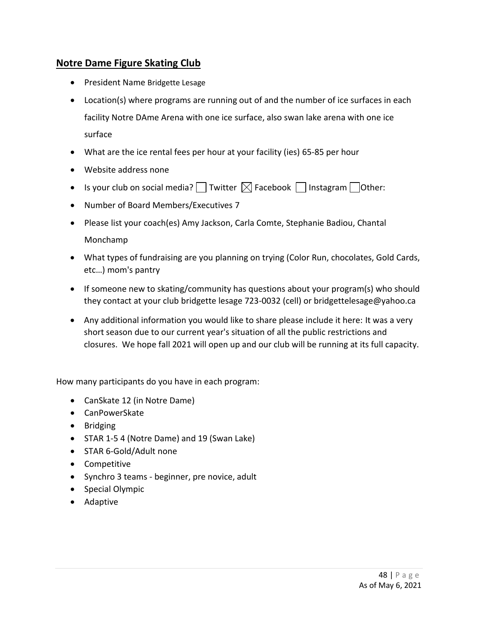### **Notre Dame Figure Skating Club**

- President Name Bridgette Lesage
- Location(s) where programs are running out of and the number of ice surfaces in each facility Notre DAme Arena with one ice surface, also swan lake arena with one ice surface
- What are the ice rental fees per hour at your facility (ies) 65-85 per hour
- Website address none
- Is your club on social media?  $\Box$  Twitter  $\boxtimes$  Facebook  $\Box$  Instagram  $\Box$  Other:
- Number of Board Members/Executives 7
- Please list your coach(es) Amy Jackson, Carla Comte, Stephanie Badiou, Chantal Monchamp
- What types of fundraising are you planning on trying (Color Run, chocolates, Gold Cards, etc…) mom's pantry
- If someone new to skating/community has questions about your program(s) who should they contact at your club bridgette lesage 723-0032 (cell) or bridgettelesage@yahoo.ca
- Any additional information you would like to share please include it here: It was a very short season due to our current year's situation of all the public restrictions and closures. We hope fall 2021 will open up and our club will be running at its full capacity.

- CanSkate 12 (in Notre Dame)
- CanPowerSkate
- Bridging
- STAR 1-5 4 (Notre Dame) and 19 (Swan Lake)
- STAR 6-Gold/Adult none
- Competitive
- Synchro 3 teams beginner, pre novice, adult
- Special Olympic
- Adaptive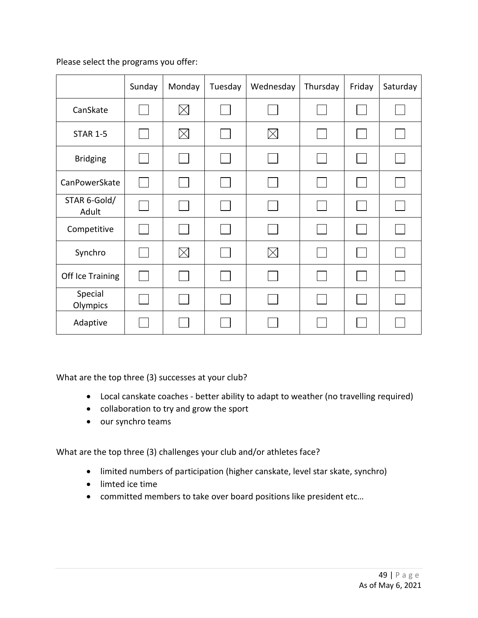|                       | Sunday | Monday      | Tuesday | Wednesday | Thursday | Friday | Saturday |
|-----------------------|--------|-------------|---------|-----------|----------|--------|----------|
| CanSkate              |        | $\boxtimes$ |         |           |          |        |          |
| <b>STAR 1-5</b>       |        | $\boxtimes$ |         | $\times$  |          |        |          |
| <b>Bridging</b>       |        |             |         |           |          |        |          |
| CanPowerSkate         |        |             |         |           |          |        |          |
| STAR 6-Gold/<br>Adult |        |             |         |           |          |        |          |
| Competitive           |        |             |         |           |          |        |          |
| Synchro               |        | $\boxtimes$ |         | $\times$  |          |        |          |
| Off Ice Training      |        |             |         |           |          |        |          |
| Special<br>Olympics   |        |             |         |           |          |        |          |
| Adaptive              |        |             |         |           |          |        |          |

What are the top three (3) successes at your club?

- Local canskate coaches better ability to adapt to weather (no travelling required)
- collaboration to try and grow the sport
- our synchro teams

- limited numbers of participation (higher canskate, level star skate, synchro)
- limted ice time
- committed members to take over board positions like president etc…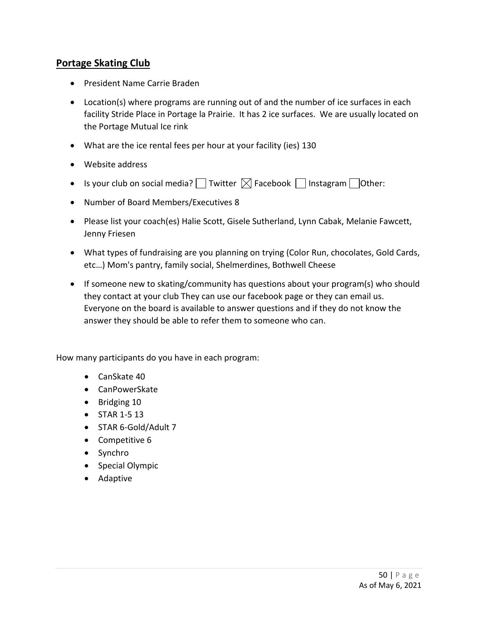#### **Portage Skating Club**

- President Name Carrie Braden
- Location(s) where programs are running out of and the number of ice surfaces in each facility Stride Place in Portage la Prairie. It has 2 ice surfaces. We are usually located on the Portage Mutual Ice rink
- What are the ice rental fees per hour at your facility (ies) 130
- Website address
- Is your club on social media?  $\Box$  Twitter  $\boxtimes$  Facebook  $\Box$  Instagram  $\Box$  Other:
- Number of Board Members/Executives 8
- Please list your coach(es) Halie Scott, Gisele Sutherland, Lynn Cabak, Melanie Fawcett, Jenny Friesen
- What types of fundraising are you planning on trying (Color Run, chocolates, Gold Cards, etc…) Mom's pantry, family social, Shelmerdines, Bothwell Cheese
- If someone new to skating/community has questions about your program(s) who should they contact at your club They can use our facebook page or they can email us. Everyone on the board is available to answer questions and if they do not know the answer they should be able to refer them to someone who can.

- CanSkate 40
- CanPowerSkate
- Bridging 10
- STAR 1-5 13
- STAR 6-Gold/Adult 7
- Competitive 6
- Synchro
- Special Olympic
- Adaptive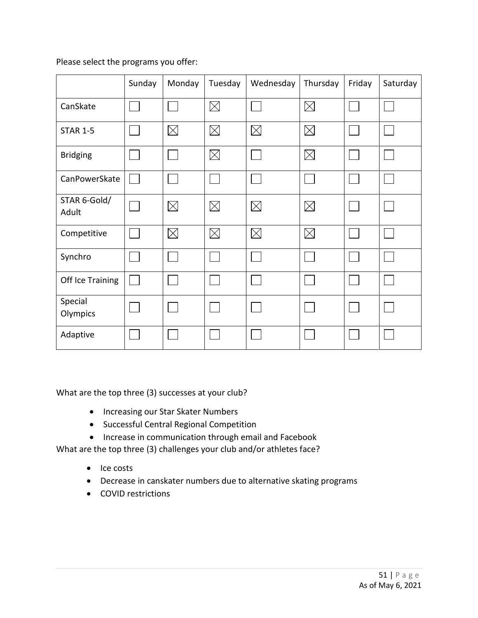|                       | Sunday         | Monday      | Tuesday     | Wednesday   | Thursday    | Friday | Saturday |
|-----------------------|----------------|-------------|-------------|-------------|-------------|--------|----------|
| CanSkate              |                |             | $\boxtimes$ |             | $\times$    |        |          |
| <b>STAR 1-5</b>       |                | $\boxtimes$ | $\times$    | $\times$    | $\times$    |        |          |
| <b>Bridging</b>       | $\mathbb{R}^n$ |             | $\boxtimes$ |             | $\boxtimes$ |        |          |
| CanPowerSkate         |                |             |             |             |             |        |          |
| STAR 6-Gold/<br>Adult |                | $\boxtimes$ | $\times$    | $\times$    | $\boxtimes$ |        |          |
| Competitive           |                | $\boxtimes$ | $\boxtimes$ | $\boxtimes$ | $\boxtimes$ |        |          |
| Synchro               |                |             |             |             |             |        |          |
| Off Ice Training      | $\mathbf{I}$   |             |             |             |             |        |          |
| Special<br>Olympics   |                |             |             |             |             |        |          |
| Adaptive              |                |             |             |             |             |        |          |

What are the top three (3) successes at your club?

- Increasing our Star Skater Numbers
- Successful Central Regional Competition
- Increase in communication through email and Facebook

- Ice costs
- Decrease in canskater numbers due to alternative skating programs
- COVID restrictions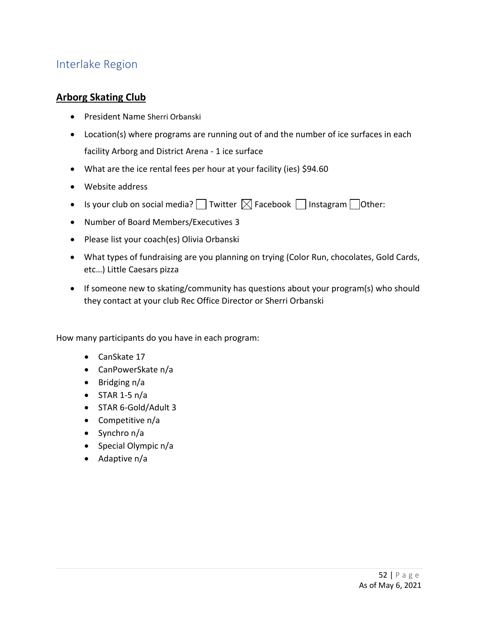## Interlake Region

### **Arborg Skating Club**

- President Name Sherri Orbanski
- Location(s) where programs are running out of and the number of ice surfaces in each facility Arborg and District Arena - 1 ice surface
- What are the ice rental fees per hour at your facility (ies) \$94.60
- Website address
- Is your club on social media?  $\Box$  Twitter  $\boxtimes$  Facebook  $\Box$  Instagram  $\Box$  Other:
- Number of Board Members/Executives 3
- Please list your coach(es) Olivia Orbanski
- What types of fundraising are you planning on trying (Color Run, chocolates, Gold Cards, etc…) Little Caesars pizza
- If someone new to skating/community has questions about your program(s) who should they contact at your club Rec Office Director or Sherri Orbanski

- CanSkate 17
- CanPowerSkate n/a
- Bridging n/a
- $\bullet$  STAR 1-5 n/a
- STAR 6-Gold/Adult 3
- Competitive n/a
- Synchro n/a
- Special Olympic n/a
- Adaptive n/a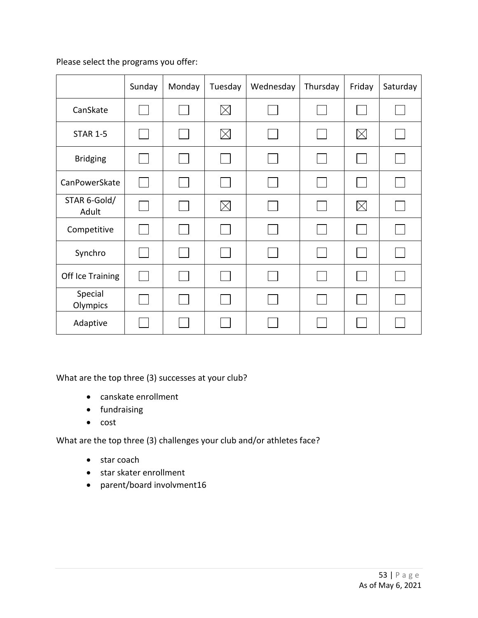|                       | Sunday | Monday | Tuesday     | Wednesday | Thursday             | Friday      | Saturday |
|-----------------------|--------|--------|-------------|-----------|----------------------|-------------|----------|
| CanSkate              |        |        | $\boxtimes$ |           |                      |             |          |
| <b>STAR 1-5</b>       |        |        | $\boxtimes$ |           | <b>International</b> | $\boxtimes$ |          |
| <b>Bridging</b>       |        |        |             |           |                      |             |          |
| CanPowerSkate         |        |        |             |           | $\sim$               |             |          |
| STAR 6-Gold/<br>Adult |        |        | $\boxtimes$ |           |                      | $\boxtimes$ |          |
| Competitive           |        |        |             |           |                      |             |          |
| Synchro               |        |        |             |           |                      |             |          |
| Off Ice Training      |        |        |             |           |                      |             |          |
| Special<br>Olympics   |        |        |             |           |                      |             |          |
| Adaptive              |        |        |             |           |                      |             |          |

What are the top three (3) successes at your club?

- canskate enrollment
- fundraising
- cost

- star coach
- star skater enrollment
- parent/board involvment16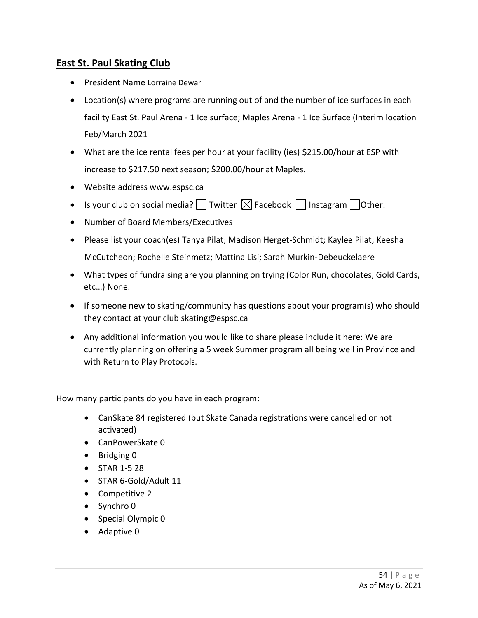## **East St. Paul Skating Club**

- President Name Lorraine Dewar
- Location(s) where programs are running out of and the number of ice surfaces in each facility East St. Paul Arena - 1 Ice surface; Maples Arena - 1 Ice Surface (Interim location Feb/March 2021
- What are the ice rental fees per hour at your facility (ies) \$215.00/hour at ESP with increase to \$217.50 next season; \$200.00/hour at Maples.
- Website address www.espsc.ca
- Is your club on social media?  $\Box$  Twitter  $\boxtimes$  Facebook  $\Box$  Instagram  $\Box$  Other:
- Number of Board Members/Executives
- Please list your coach(es) Tanya Pilat; Madison Herget-Schmidt; Kaylee Pilat; Keesha McCutcheon; Rochelle Steinmetz; Mattina Lisi; Sarah Murkin-Debeuckelaere
- What types of fundraising are you planning on trying (Color Run, chocolates, Gold Cards, etc…) None.
- If someone new to skating/community has questions about your program(s) who should they contact at your club skating@espsc.ca
- Any additional information you would like to share please include it here: We are currently planning on offering a 5 week Summer program all being well in Province and with Return to Play Protocols.

- CanSkate 84 registered (but Skate Canada registrations were cancelled or not activated)
- CanPowerSkate 0
- Bridging 0
- STAR 1-5 28
- STAR 6-Gold/Adult 11
- Competitive 2
- Synchro 0
- Special Olympic 0
- Adaptive 0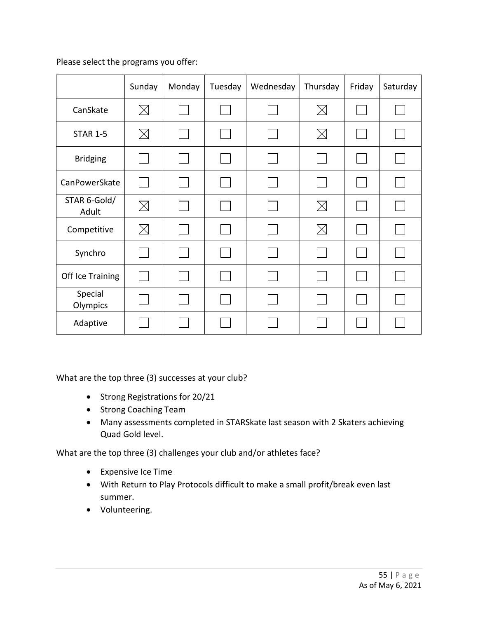|                       | Sunday      | Monday | Tuesday | Wednesday | Thursday    | Friday | Saturday |
|-----------------------|-------------|--------|---------|-----------|-------------|--------|----------|
| CanSkate              | $\boxtimes$ |        |         |           | $\boxtimes$ |        |          |
| <b>STAR 1-5</b>       | $\boxtimes$ |        |         |           | $\boxtimes$ |        |          |
| <b>Bridging</b>       |             |        |         |           |             |        |          |
| CanPowerSkate         |             |        |         |           | $\sim$      |        |          |
| STAR 6-Gold/<br>Adult | $\boxtimes$ |        |         |           | $\times$    |        |          |
| Competitive           | $\boxtimes$ |        |         |           | $\times$    |        |          |
| Synchro               |             |        |         |           |             |        |          |
| Off Ice Training      |             |        |         |           |             |        |          |
| Special<br>Olympics   |             |        |         |           |             |        |          |
| Adaptive              |             |        |         |           |             |        |          |

What are the top three (3) successes at your club?

- Strong Registrations for 20/21
- Strong Coaching Team
- Many assessments completed in STARSkate last season with 2 Skaters achieving Quad Gold level.

- Expensive Ice Time
- With Return to Play Protocols difficult to make a small profit/break even last summer.
- Volunteering.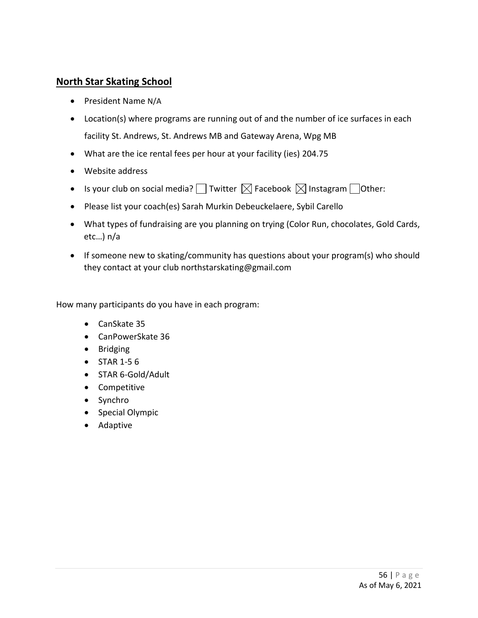#### **North Star Skating School**

- President Name N/A
- Location(s) where programs are running out of and the number of ice surfaces in each facility St. Andrews, St. Andrews MB and Gateway Arena, Wpg MB
- What are the ice rental fees per hour at your facility (ies) 204.75
- Website address
- Is your club on social media?  $\Box$  Twitter  $\boxtimes$  Facebook  $\boxtimes$  Instagram  $\Box$  Other:
- Please list your coach(es) Sarah Murkin Debeuckelaere, Sybil Carello
- What types of fundraising are you planning on trying (Color Run, chocolates, Gold Cards, etc…) n/a
- If someone new to skating/community has questions about your program(s) who should they contact at your club northstarskating@gmail.com

- CanSkate 35
- CanPowerSkate 36
- Bridging
- STAR 1-5 6
- STAR 6-Gold/Adult
- Competitive
- Synchro
- Special Olympic
- Adaptive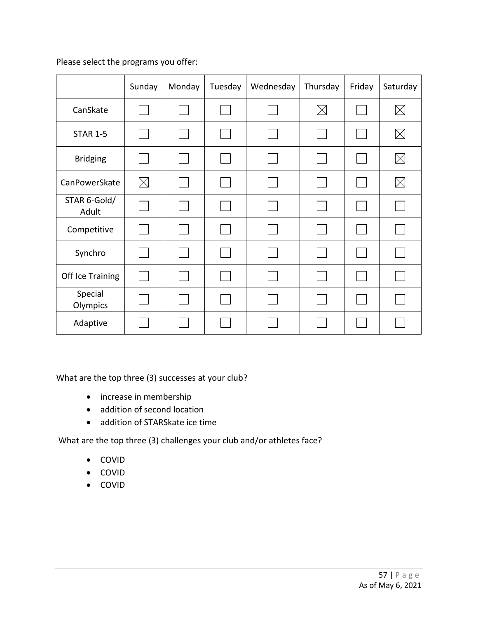|                       | Sunday      | Monday | Tuesday | Wednesday | Thursday                    | Friday | Saturday    |
|-----------------------|-------------|--------|---------|-----------|-----------------------------|--------|-------------|
| CanSkate              |             |        |         |           | $\boxtimes$                 |        | $\boxtimes$ |
| <b>STAR 1-5</b>       |             |        |         |           | <b>International</b>        |        | $\boxtimes$ |
| <b>Bridging</b>       |             |        |         |           |                             |        | $\boxtimes$ |
| CanPowerSkate         | $\boxtimes$ |        |         |           | $\mathcal{L}_{\mathcal{A}}$ |        | $\boxtimes$ |
| STAR 6-Gold/<br>Adult |             |        |         |           |                             |        |             |
| Competitive           |             |        |         |           |                             |        |             |
| Synchro               |             |        |         |           | $\mathcal{L}_{\rm{max}}$    |        |             |
| Off Ice Training      |             |        |         |           |                             |        |             |
| Special<br>Olympics   |             |        |         |           |                             |        |             |
| Adaptive              |             |        |         |           |                             |        |             |

What are the top three (3) successes at your club?

- increase in membership
- addition of second location
- addition of STARSkate ice time

- COVID
- COVID
- COVID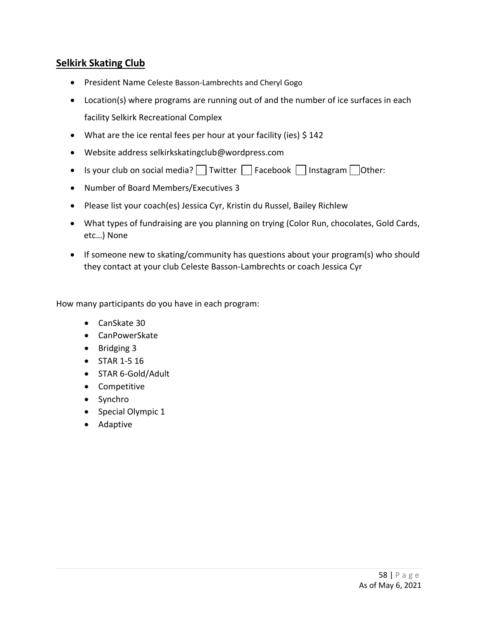## **Selkirk Skating Club**

- President Name Celeste Basson-Lambrechts and Cheryl Gogo
- Location(s) where programs are running out of and the number of ice surfaces in each facility Selkirk Recreational Complex
- What are the ice rental fees per hour at your facility (ies) \$142
- Website address selkirkskatingclub@wordpress.com
- Is your club on social media? Twitter  $\Box$  Facebook  $\Box$  Instagram  $\Box$  Other:
- Number of Board Members/Executives 3
- Please list your coach(es) Jessica Cyr, Kristin du Russel, Bailey Richlew
- What types of fundraising are you planning on trying (Color Run, chocolates, Gold Cards, etc…) None
- If someone new to skating/community has questions about your program(s) who should they contact at your club Celeste Basson-Lambrechts or coach Jessica Cyr

- CanSkate 30
- CanPowerSkate
- Bridging 3
- STAR 1-5 16
- STAR 6-Gold/Adult
- Competitive
- Synchro
- Special Olympic 1
- Adaptive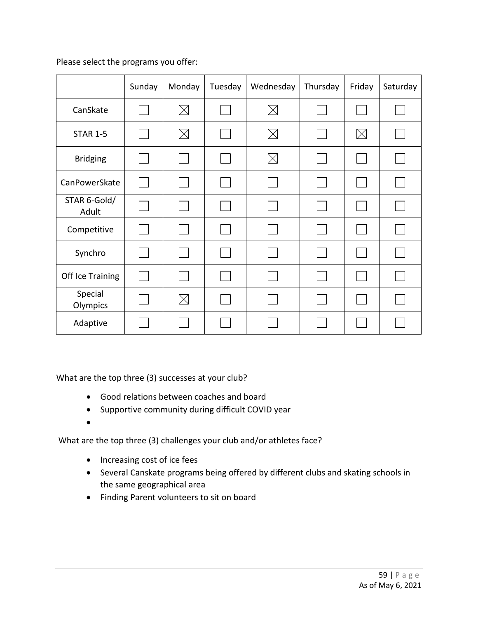|                       | Sunday | Monday      | Tuesday | Wednesday   | Thursday       | Friday      | Saturday |
|-----------------------|--------|-------------|---------|-------------|----------------|-------------|----------|
| CanSkate              |        | $\boxtimes$ |         | $\boxtimes$ |                |             |          |
| <b>STAR 1-5</b>       |        | $\boxtimes$ |         | $\times$    | $\mathbb{R}^n$ | $\boxtimes$ |          |
| <b>Bridging</b>       |        |             |         | $\times$    |                |             |          |
| CanPowerSkate         |        |             |         |             | $\sim$         |             |          |
| STAR 6-Gold/<br>Adult |        |             |         |             |                |             |          |
| Competitive           |        |             |         |             |                |             |          |
| Synchro               |        |             |         |             |                |             |          |
| Off Ice Training      |        |             |         |             |                |             |          |
| Special<br>Olympics   |        | $\boxtimes$ |         |             |                |             |          |
| Adaptive              |        |             |         |             |                |             |          |

What are the top three (3) successes at your club?

- Good relations between coaches and board
- Supportive community during difficult COVID year
- •

- Increasing cost of ice fees
- Several Canskate programs being offered by different clubs and skating schools in the same geographical area
- Finding Parent volunteers to sit on board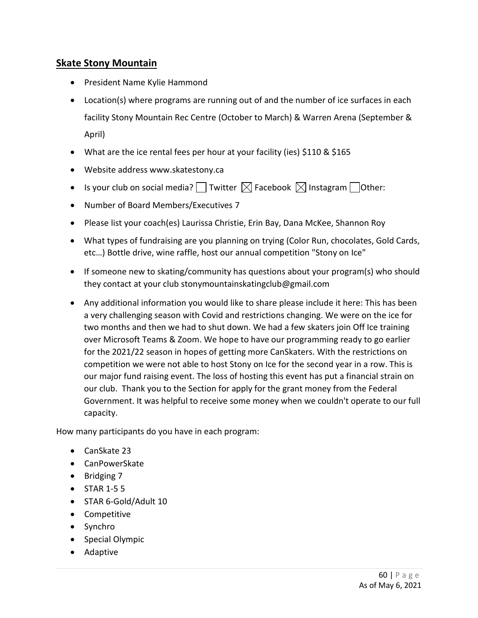## **Skate Stony Mountain**

- President Name Kylie Hammond
- Location(s) where programs are running out of and the number of ice surfaces in each facility Stony Mountain Rec Centre (October to March) & Warren Arena (September & April)
- What are the ice rental fees per hour at your facility (ies) \$110 & \$165
- Website address www.skatestony.ca
- Is your club on social media? Twitter  $\boxtimes$  Facebook  $\boxtimes$  Instagram Tother:
- Number of Board Members/Executives 7
- Please list your coach(es) Laurissa Christie, Erin Bay, Dana McKee, Shannon Roy
- What types of fundraising are you planning on trying (Color Run, chocolates, Gold Cards, etc…) Bottle drive, wine raffle, host our annual competition "Stony on Ice"
- If someone new to skating/community has questions about your program(s) who should they contact at your club stonymountainskatingclub@gmail.com
- Any additional information you would like to share please include it here: This has been a very challenging season with Covid and restrictions changing. We were on the ice for two months and then we had to shut down. We had a few skaters join Off Ice training over Microsoft Teams & Zoom. We hope to have our programming ready to go earlier for the 2021/22 season in hopes of getting more CanSkaters. With the restrictions on competition we were not able to host Stony on Ice for the second year in a row. This is our major fund raising event. The loss of hosting this event has put a financial strain on our club. Thank you to the Section for apply for the grant money from the Federal Government. It was helpful to receive some money when we couldn't operate to our full capacity.

- CanSkate 23
- CanPowerSkate
- Bridging 7
- STAR 1-5 5
- STAR 6-Gold/Adult 10
- Competitive
- Synchro
- Special Olympic
- Adaptive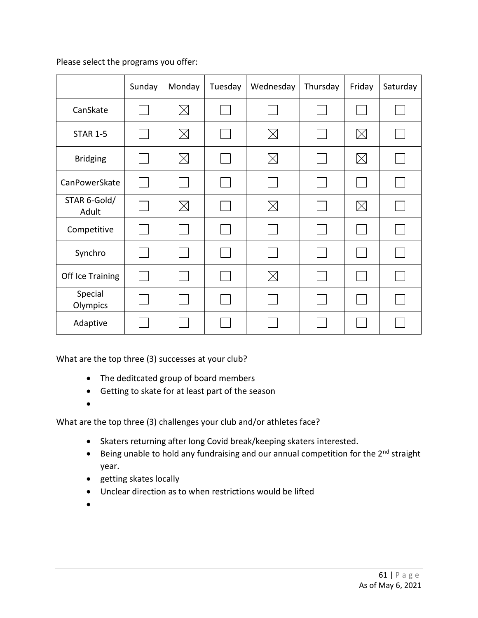|                       | Sunday | Monday      | Tuesday | Wednesday   | Thursday | Friday      | Saturday |
|-----------------------|--------|-------------|---------|-------------|----------|-------------|----------|
| CanSkate              |        | $\boxtimes$ |         |             |          |             |          |
| <b>STAR 1-5</b>       |        | $\boxtimes$ |         | $\boxtimes$ |          | $\times$    |          |
| <b>Bridging</b>       |        | $\boxtimes$ |         | $\times$    |          | $\boxtimes$ |          |
| CanPowerSkate         |        |             |         |             |          |             |          |
| STAR 6-Gold/<br>Adult |        | $\boxtimes$ |         | $\boxtimes$ |          | $\boxtimes$ |          |
| Competitive           |        |             |         |             |          |             |          |
| Synchro               |        |             |         |             |          |             |          |
| Off Ice Training      |        |             |         | $\boxtimes$ |          |             |          |
| Special<br>Olympics   |        |             |         |             |          |             |          |
| Adaptive              |        |             |         |             |          |             |          |

What are the top three (3) successes at your club?

- The deditcated group of board members
- Getting to skate for at least part of the season
- •

- Skaters returning after long Covid break/keeping skaters interested.
- Being unable to hold any fundraising and our annual competition for the 2<sup>nd</sup> straight year.
- getting skates locally
- Unclear direction as to when restrictions would be lifted
- •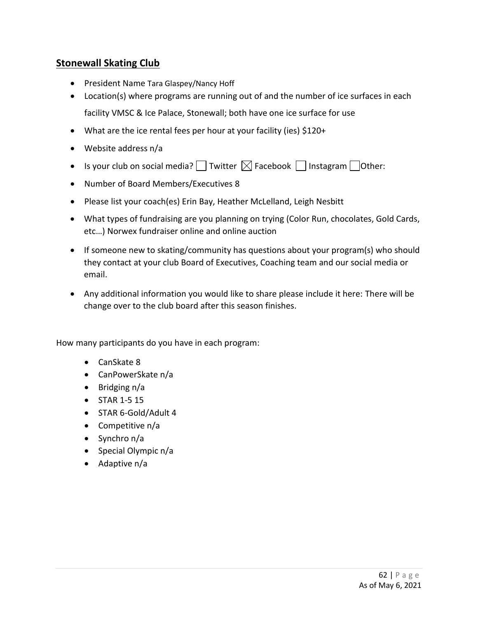### **Stonewall Skating Club**

- President Name Tara Glaspey/Nancy Hoff
- Location(s) where programs are running out of and the number of ice surfaces in each facility VMSC & Ice Palace, Stonewall; both have one ice surface for use
- What are the ice rental fees per hour at your facility (ies) \$120+
- Website address n/a
- Is your club on social media?  $\Box$  Twitter  $\boxtimes$  Facebook  $\Box$  Instagram  $\Box$  Other:
- Number of Board Members/Executives 8
- Please list your coach(es) Erin Bay, Heather McLelland, Leigh Nesbitt
- What types of fundraising are you planning on trying (Color Run, chocolates, Gold Cards, etc…) Norwex fundraiser online and online auction
- If someone new to skating/community has questions about your program(s) who should they contact at your club Board of Executives, Coaching team and our social media or email.
- Any additional information you would like to share please include it here: There will be change over to the club board after this season finishes.

- CanSkate 8
- CanPowerSkate n/a
- Bridging n/a
- STAR 1-5 15
- STAR 6-Gold/Adult 4
- Competitive n/a
- Synchro n/a
- Special Olympic n/a
- Adaptive n/a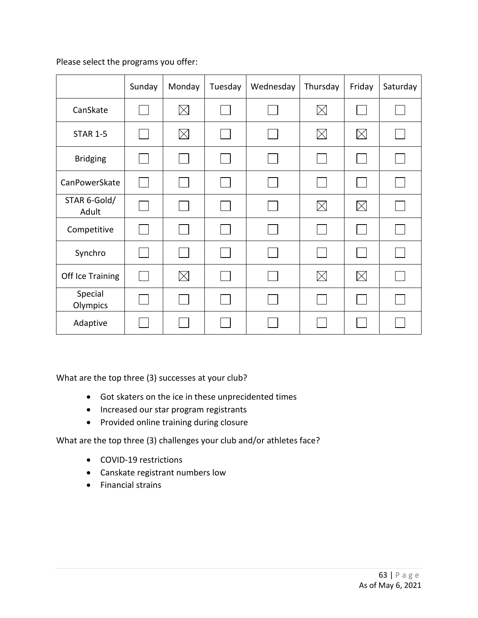|                       | Sunday | Monday      | Tuesday | Wednesday | Thursday    | Friday      | Saturday |
|-----------------------|--------|-------------|---------|-----------|-------------|-------------|----------|
| CanSkate              |        | $\boxtimes$ |         |           | $\boxtimes$ |             |          |
| <b>STAR 1-5</b>       |        | $\boxtimes$ |         |           | $\boxtimes$ | $\boxtimes$ |          |
| <b>Bridging</b>       |        |             |         |           |             |             |          |
| CanPowerSkate         |        |             |         |           | $\sim$      |             |          |
| STAR 6-Gold/<br>Adult |        |             |         |           | $\times$    | $\times$    |          |
| Competitive           |        |             |         |           |             |             |          |
| Synchro               |        |             |         |           |             |             |          |
| Off Ice Training      |        | $\boxtimes$ |         |           | $\times$    | $\times$    |          |
| Special<br>Olympics   |        |             |         |           |             |             |          |
| Adaptive              |        |             |         |           |             |             |          |

What are the top three (3) successes at your club?

- Got skaters on the ice in these unprecidented times
- Increased our star program registrants
- Provided online training during closure

- COVID-19 restrictions
- Canskate registrant numbers low
- Financial strains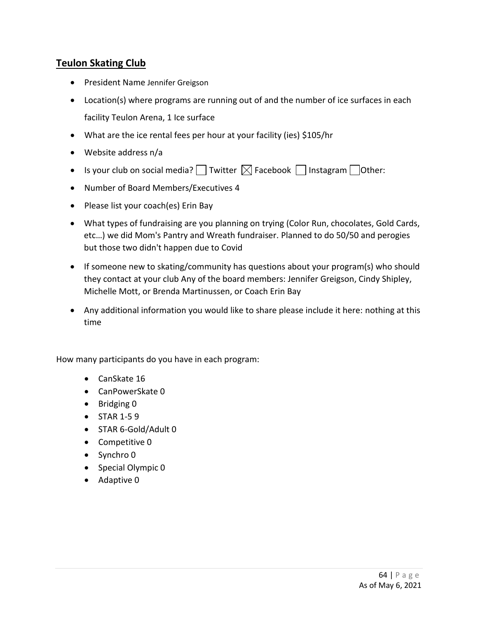## **Teulon Skating Club**

- President Name Jennifer Greigson
- Location(s) where programs are running out of and the number of ice surfaces in each facility Teulon Arena, 1 Ice surface
- What are the ice rental fees per hour at your facility (ies) \$105/hr
- Website address n/a
- Is your club on social media?  $\Box$  Twitter  $\boxtimes$  Facebook  $\Box$  Instagram  $\Box$  Other:
- Number of Board Members/Executives 4
- Please list your coach(es) Erin Bay
- What types of fundraising are you planning on trying (Color Run, chocolates, Gold Cards, etc…) we did Mom's Pantry and Wreath fundraiser. Planned to do 50/50 and perogies but those two didn't happen due to Covid
- If someone new to skating/community has questions about your program(s) who should they contact at your club Any of the board members: Jennifer Greigson, Cindy Shipley, Michelle Mott, or Brenda Martinussen, or Coach Erin Bay
- Any additional information you would like to share please include it here: nothing at this time

- CanSkate 16
- CanPowerSkate 0
- Bridging 0
- STAR 1-5 9
- STAR 6-Gold/Adult 0
- Competitive 0
- Synchro 0
- Special Olympic 0
- Adaptive 0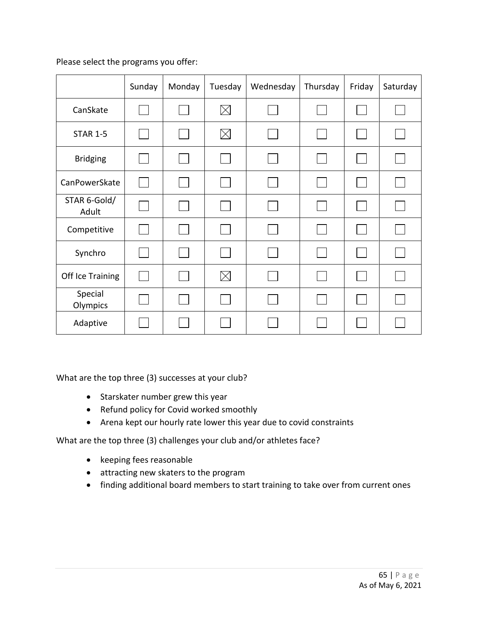|                       | Sunday | Monday | Tuesday     | Wednesday | Thursday | Friday | Saturday |
|-----------------------|--------|--------|-------------|-----------|----------|--------|----------|
| CanSkate              |        |        | $\boxtimes$ |           |          |        |          |
| <b>STAR 1-5</b>       |        |        | $\boxtimes$ |           |          |        |          |
| <b>Bridging</b>       |        |        |             |           |          |        |          |
| CanPowerSkate         |        |        |             |           |          |        |          |
| STAR 6-Gold/<br>Adult |        |        |             |           |          |        |          |
| Competitive           |        |        |             |           |          |        |          |
| Synchro               |        |        |             |           |          |        |          |
| Off Ice Training      |        |        | $\times$    |           |          |        |          |
| Special<br>Olympics   |        |        |             |           |          |        |          |
| Adaptive              |        |        |             |           |          |        |          |

What are the top three (3) successes at your club?

- Starskater number grew this year
- Refund policy for Covid worked smoothly
- Arena kept our hourly rate lower this year due to covid constraints

- keeping fees reasonable
- attracting new skaters to the program
- finding additional board members to start training to take over from current ones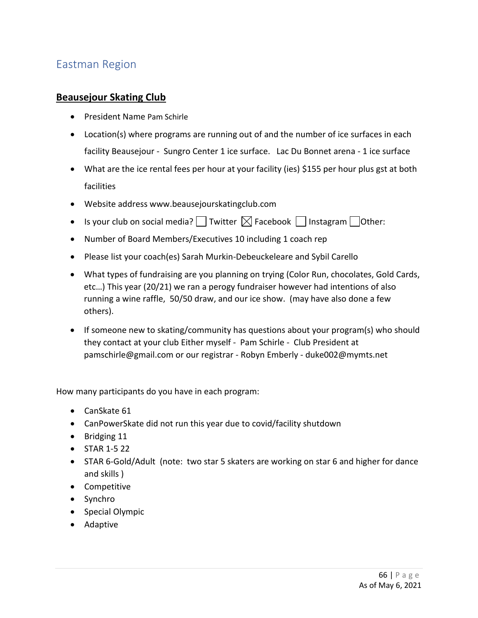# Eastman Region

#### **Beausejour Skating Club**

- President Name Pam Schirle
- Location(s) where programs are running out of and the number of ice surfaces in each facility Beausejour - Sungro Center 1 ice surface. Lac Du Bonnet arena - 1 ice surface
- What are the ice rental fees per hour at your facility (ies) \$155 per hour plus gst at both facilities
- Website address www.beausejourskatingclub.com
- Is your club on social media?  $\Box$  Twitter  $\boxtimes$  Facebook  $\Box$  Instagram  $\Box$  Other:
- Number of Board Members/Executives 10 including 1 coach rep
- Please list your coach(es) Sarah Murkin-Debeuckeleare and Sybil Carello
- What types of fundraising are you planning on trying (Color Run, chocolates, Gold Cards, etc…) This year (20/21) we ran a perogy fundraiser however had intentions of also running a wine raffle, 50/50 draw, and our ice show. (may have also done a few others).
- If someone new to skating/community has questions about your program(s) who should they contact at your club Either myself - Pam Schirle - Club President at pamschirle@gmail.com or our registrar - Robyn Emberly - duke002@mymts.net

- CanSkate 61
- CanPowerSkate did not run this year due to covid/facility shutdown
- Bridging 11
- STAR 1-5 22
- STAR 6-Gold/Adult (note: two star 5 skaters are working on star 6 and higher for dance and skills )
- Competitive
- Synchro
- Special Olympic
- Adaptive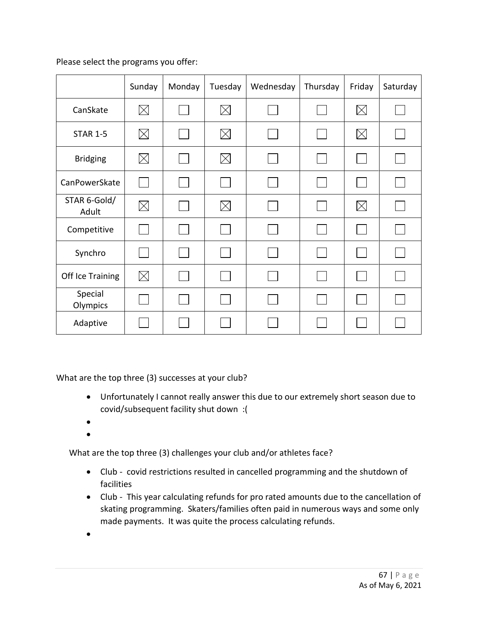|                       | Sunday      | Monday | Tuesday     | Wednesday | Thursday | Friday      | Saturday |
|-----------------------|-------------|--------|-------------|-----------|----------|-------------|----------|
| CanSkate              | $\boxtimes$ |        | $\boxtimes$ |           |          | $\boxtimes$ |          |
| <b>STAR 1-5</b>       | $\boxtimes$ |        | $\boxtimes$ |           |          | $\boxtimes$ |          |
| <b>Bridging</b>       | $\boxtimes$ |        | $\boxtimes$ |           |          |             |          |
| CanPowerSkate         |             |        |             |           |          |             |          |
| STAR 6-Gold/<br>Adult | $\boxtimes$ |        | $\times$    |           |          | $\boxtimes$ |          |
| Competitive           |             |        |             |           |          |             |          |
| Synchro               |             |        |             |           |          |             |          |
| Off Ice Training      | $\times$    |        |             |           |          |             |          |
| Special<br>Olympics   |             |        |             |           |          |             |          |
| Adaptive              |             |        |             |           |          |             |          |

What are the top three (3) successes at your club?

- Unfortunately I cannot really answer this due to our extremely short season due to covid/subsequent facility shut down :(
- •
- •

- Club covid restrictions resulted in cancelled programming and the shutdown of facilities
- Club This year calculating refunds for pro rated amounts due to the cancellation of skating programming. Skaters/families often paid in numerous ways and some only made payments. It was quite the process calculating refunds.
- •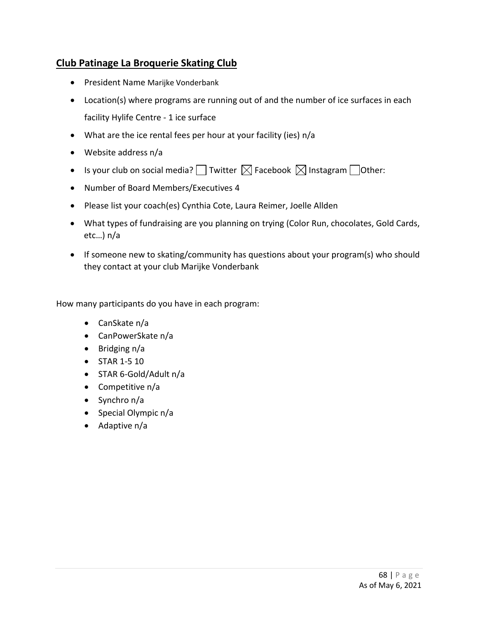## **Club Patinage La Broquerie Skating Club**

- President Name Marijke Vonderbank
- Location(s) where programs are running out of and the number of ice surfaces in each facility Hylife Centre - 1 ice surface
- What are the ice rental fees per hour at your facility (ies) n/a
- Website address n/a
- Is your club on social media? Twitter  $\boxtimes$  Facebook  $\boxtimes$  Instagram Tother:
- Number of Board Members/Executives 4
- Please list your coach(es) Cynthia Cote, Laura Reimer, Joelle Allden
- What types of fundraising are you planning on trying (Color Run, chocolates, Gold Cards, etc…) n/a
- If someone new to skating/community has questions about your program(s) who should they contact at your club Marijke Vonderbank

- CanSkate n/a
- CanPowerSkate n/a
- Bridging n/a
- STAR 1-5 10
- STAR 6-Gold/Adult n/a
- Competitive n/a
- Synchro n/a
- Special Olympic n/a
- Adaptive n/a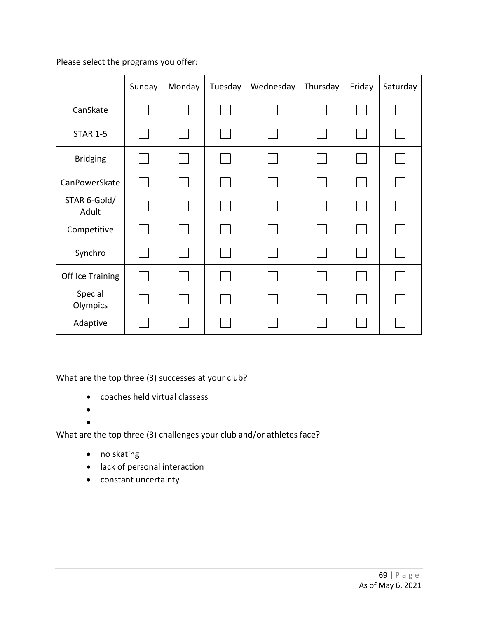|                       | Sunday | Monday | Tuesday | Wednesday | Thursday | Friday | Saturday |
|-----------------------|--------|--------|---------|-----------|----------|--------|----------|
| CanSkate              |        |        |         |           |          |        |          |
| <b>STAR 1-5</b>       |        | I.     |         |           |          |        |          |
| <b>Bridging</b>       |        |        |         |           |          |        |          |
| CanPowerSkate         |        |        |         |           |          |        |          |
| STAR 6-Gold/<br>Adult |        |        |         |           |          |        |          |
| Competitive           |        |        |         |           |          |        |          |
| Synchro               |        |        |         |           |          |        |          |
| Off Ice Training      |        |        |         |           |          |        |          |
| Special<br>Olympics   |        |        |         |           |          |        |          |
| Adaptive              |        |        |         |           |          |        |          |

What are the top three (3) successes at your club?

- coaches held virtual classess
- $\bullet$
- •

- no skating
- lack of personal interaction
- constant uncertainty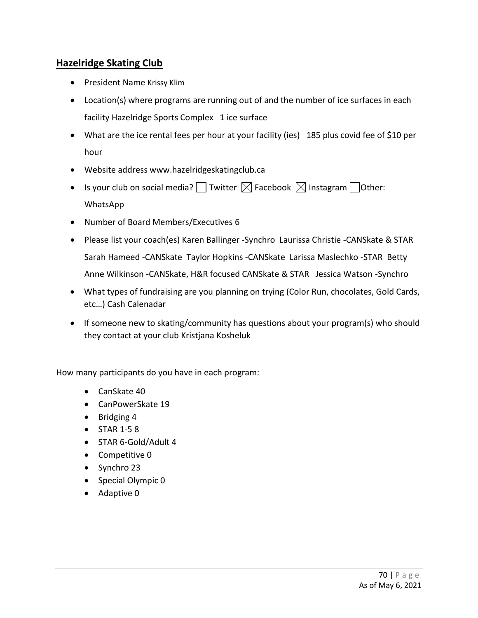## **Hazelridge Skating Club**

- President Name Krissy Klim
- Location(s) where programs are running out of and the number of ice surfaces in each facility Hazelridge Sports Complex 1 ice surface
- What are the ice rental fees per hour at your facility (ies) 185 plus covid fee of \$10 per hour
- Website address www.hazelridgeskatingclub.ca
- Is your club on social media?  $\square$  Twitter  $\boxtimes$  Facebook  $\boxtimes$  Instagram  $\square$ Other: WhatsApp
- Number of Board Members/Executives 6
- Please list your coach(es) Karen Ballinger -Synchro Laurissa Christie -CANSkate & STAR Sarah Hameed -CANSkate Taylor Hopkins -CANSkate Larissa Maslechko -STAR Betty Anne Wilkinson -CANSkate, H&R focused CANSkate & STAR Jessica Watson -Synchro
- What types of fundraising are you planning on trying (Color Run, chocolates, Gold Cards, etc…) Cash Calenadar
- If someone new to skating/community has questions about your program(s) who should they contact at your club Kristjana Kosheluk

- CanSkate 40
- CanPowerSkate 19
- Bridging 4
- STAR 1-5 8
- STAR 6-Gold/Adult 4
- Competitive 0
- Synchro 23
- Special Olympic 0
- Adaptive 0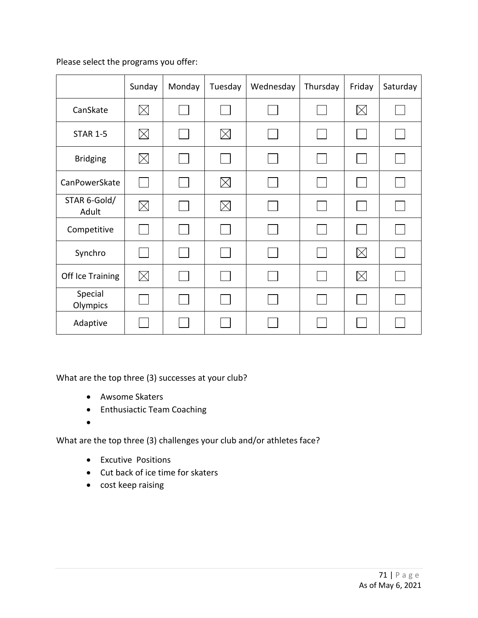|                       | Sunday      | Monday | Tuesday     | Wednesday | Thursday | Friday      | Saturday |
|-----------------------|-------------|--------|-------------|-----------|----------|-------------|----------|
| CanSkate              | $\boxtimes$ |        |             |           |          | $\boxtimes$ |          |
| <b>STAR 1-5</b>       | $\boxtimes$ |        | $\boxtimes$ |           |          |             |          |
| <b>Bridging</b>       | $\boxtimes$ |        |             |           |          |             |          |
| CanPowerSkate         |             |        | $\times$    |           |          |             |          |
| STAR 6-Gold/<br>Adult | $\boxtimes$ |        | $\boxtimes$ |           |          |             |          |
| Competitive           |             |        |             |           |          |             |          |
| Synchro               |             |        |             |           |          | $\times$    |          |
| Off Ice Training      | $\times$    |        |             |           |          | $\times$    |          |
| Special<br>Olympics   |             |        |             |           |          |             |          |
| Adaptive              |             |        |             |           |          |             |          |

What are the top three (3) successes at your club?

- Awsome Skaters
- Enthusiactic Team Coaching
- •

- Excutive Positions
- Cut back of ice time for skaters
- cost keep raising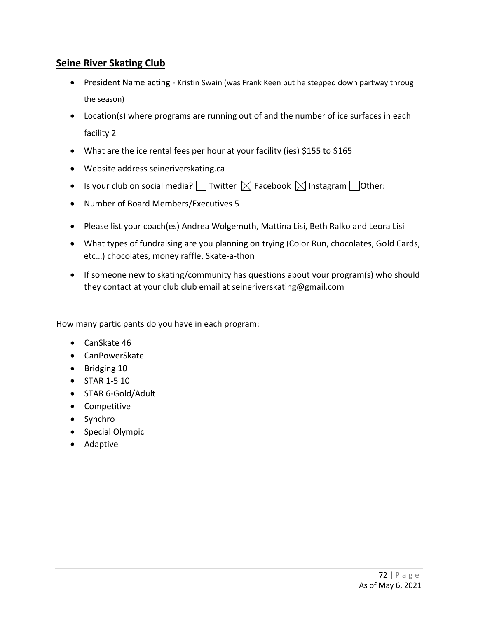## **Seine River Skating Club**

- President Name acting Kristin Swain (was Frank Keen but he stepped down partway throug the season)
- Location(s) where programs are running out of and the number of ice surfaces in each facility 2
- What are the ice rental fees per hour at your facility (ies) \$155 to \$165
- Website address seineriverskating.ca
- Is your club on social media? Twitter  $\boxtimes$  Facebook  $\boxtimes$  Instagram Tother:
- Number of Board Members/Executives 5
- Please list your coach(es) Andrea Wolgemuth, Mattina Lisi, Beth Ralko and Leora Lisi
- What types of fundraising are you planning on trying (Color Run, chocolates, Gold Cards, etc…) chocolates, money raffle, Skate-a-thon
- If someone new to skating/community has questions about your program(s) who should they contact at your club club email at seineriverskating@gmail.com

- CanSkate 46
- CanPowerSkate
- Bridging 10
- STAR 1-5 10
- STAR 6-Gold/Adult
- Competitive
- Synchro
- Special Olympic
- Adaptive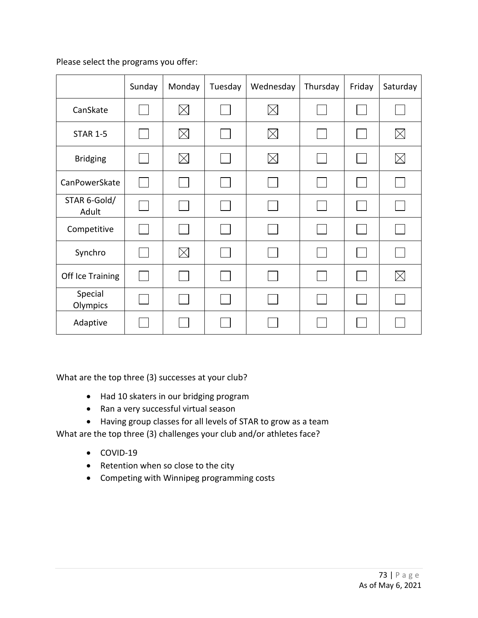Please select the programs you offer:

|                       | Sunday         | Monday      | Tuesday | Wednesday   | Thursday | Friday | Saturday    |
|-----------------------|----------------|-------------|---------|-------------|----------|--------|-------------|
| CanSkate              |                | $\boxtimes$ |         | $\boxtimes$ |          |        |             |
| <b>STAR 1-5</b>       | I.             | $\boxtimes$ |         | $\boxtimes$ |          |        | $\boxtimes$ |
| <b>Bridging</b>       |                | $\boxtimes$ |         | $\times$    |          |        | $\boxtimes$ |
| CanPowerSkate         | $\mathbb{R}^n$ |             |         |             |          |        |             |
| STAR 6-Gold/<br>Adult |                |             |         |             |          |        |             |
| Competitive           |                |             |         |             |          |        |             |
| Synchro               |                | $\boxtimes$ |         |             |          |        |             |
| Off Ice Training      |                |             |         |             |          |        | $\boxtimes$ |
| Special<br>Olympics   |                |             |         |             |          |        |             |
| Adaptive              |                |             |         |             |          |        |             |

What are the top three (3) successes at your club?

- Had 10 skaters in our bridging program
- Ran a very successful virtual season
- Having group classes for all levels of STAR to grow as a team

What are the top three (3) challenges your club and/or athletes face?

- COVID-19
- Retention when so close to the city
- Competing with Winnipeg programming costs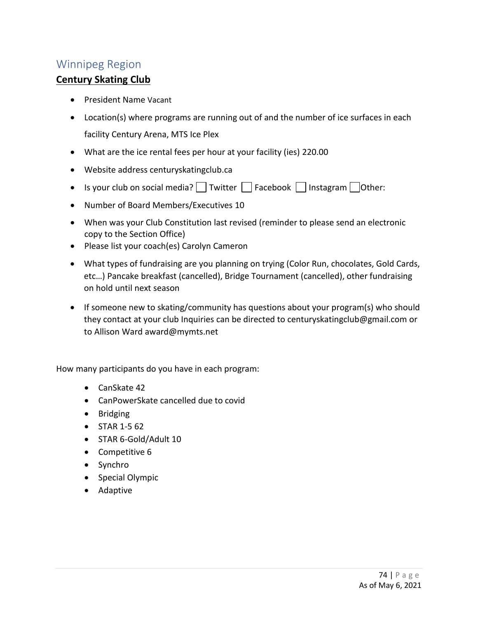## Winnipeg Region

## **Century Skating Club**

- President Name Vacant
- Location(s) where programs are running out of and the number of ice surfaces in each facility Century Arena, MTS Ice Plex
- What are the ice rental fees per hour at your facility (ies) 220.00
- Website address centuryskatingclub.ca
- Is your club on social media?  $\Box$  Twitter  $\Box$  Facebook  $\Box$  Instagram  $\Box$  Other:
- Number of Board Members/Executives 10
- When was your Club Constitution last revised (reminder to please send an electronic copy to the Section Office)
- Please list your coach(es) Carolyn Cameron
- What types of fundraising are you planning on trying (Color Run, chocolates, Gold Cards, etc…) Pancake breakfast (cancelled), Bridge Tournament (cancelled), other fundraising on hold until next season
- If someone new to skating/community has questions about your program(s) who should they contact at your club Inquiries can be directed to centuryskatingclub@gmail.com or to Allison Ward award@mymts.net

How many participants do you have in each program:

- CanSkate 42
- CanPowerSkate cancelled due to covid
- Bridging
- STAR 1-5 62
- STAR 6-Gold/Adult 10
- Competitive 6
- Synchro
- Special Olympic
- Adaptive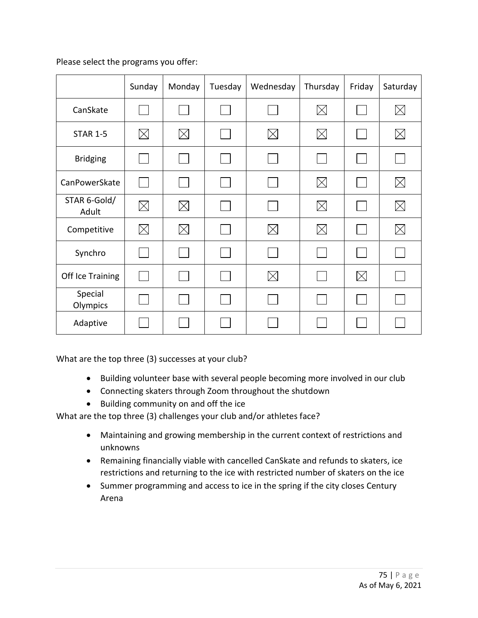Please select the programs you offer:

|                       | Sunday      | Monday      | Tuesday | Wednesday   | Thursday    | Friday   | Saturday    |
|-----------------------|-------------|-------------|---------|-------------|-------------|----------|-------------|
| CanSkate              |             |             |         |             | $\boxtimes$ |          | $\boxtimes$ |
| <b>STAR 1-5</b>       | $\boxtimes$ | $\boxtimes$ |         | $\boxtimes$ | $\times$    |          | $\boxtimes$ |
| <b>Bridging</b>       |             |             |         |             |             |          |             |
| CanPowerSkate         | I.          |             |         |             | $\times$    |          | $\boxtimes$ |
| STAR 6-Gold/<br>Adult | $\boxtimes$ | $\boxtimes$ |         |             | $\boxtimes$ |          | $\boxtimes$ |
| Competitive           | $\boxtimes$ | $\boxtimes$ |         | $\times$    | $\boxtimes$ |          | $\boxtimes$ |
| Synchro               |             |             |         |             |             |          |             |
| Off Ice Training      |             |             |         | $\times$    |             | $\times$ |             |
| Special<br>Olympics   |             |             |         |             |             |          |             |
| Adaptive              |             |             |         |             |             |          |             |

What are the top three (3) successes at your club?

- Building volunteer base with several people becoming more involved in our club
- Connecting skaters through Zoom throughout the shutdown
- Building community on and off the ice

What are the top three (3) challenges your club and/or athletes face?

- Maintaining and growing membership in the current context of restrictions and unknowns
- Remaining financially viable with cancelled CanSkate and refunds to skaters, ice restrictions and returning to the ice with restricted number of skaters on the ice
- Summer programming and access to ice in the spring if the city closes Century Arena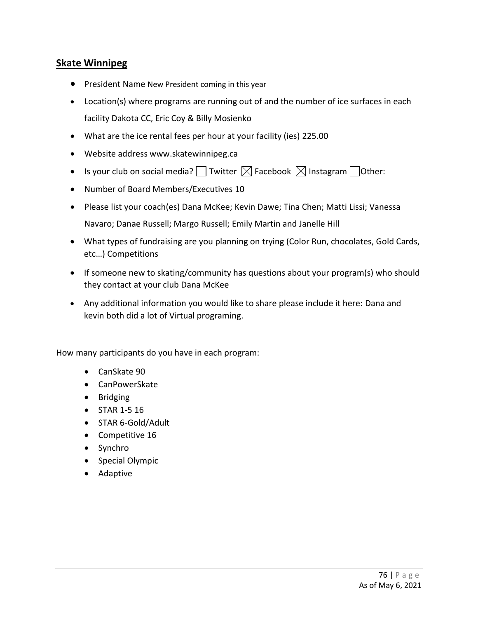## **Skate Winnipeg**

- President Name New President coming in this year
- Location(s) where programs are running out of and the number of ice surfaces in each facility Dakota CC, Eric Coy & Billy Mosienko
- What are the ice rental fees per hour at your facility (ies) 225.00
- Website address www.skatewinnipeg.ca
- Is your club on social media?  $\Box$  Twitter  $\boxtimes$  Facebook  $\boxtimes$  Instagram  $\Box$  Other:
- Number of Board Members/Executives 10
- Please list your coach(es) Dana McKee; Kevin Dawe; Tina Chen; Matti Lissi; Vanessa Navaro; Danae Russell; Margo Russell; Emily Martin and Janelle Hill
- What types of fundraising are you planning on trying (Color Run, chocolates, Gold Cards, etc…) Competitions
- If someone new to skating/community has questions about your program(s) who should they contact at your club Dana McKee
- Any additional information you would like to share please include it here: Dana and kevin both did a lot of Virtual programing.

How many participants do you have in each program:

- CanSkate 90
- CanPowerSkate
- Bridging
- STAR 1-5 16
- STAR 6-Gold/Adult
- Competitive 16
- Synchro
- Special Olympic
- Adaptive